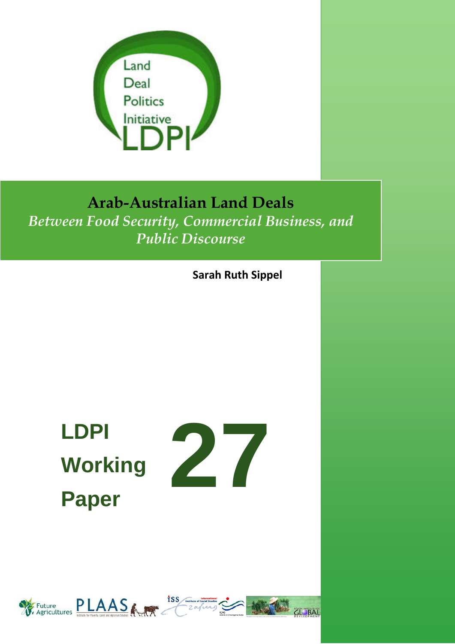

## **Arab-Australian Land Deals**

*Between Food Security, Commercial Business, and Public Discourse*

**Sarah Ruth Sippel**

# **LDPI Working Paper**



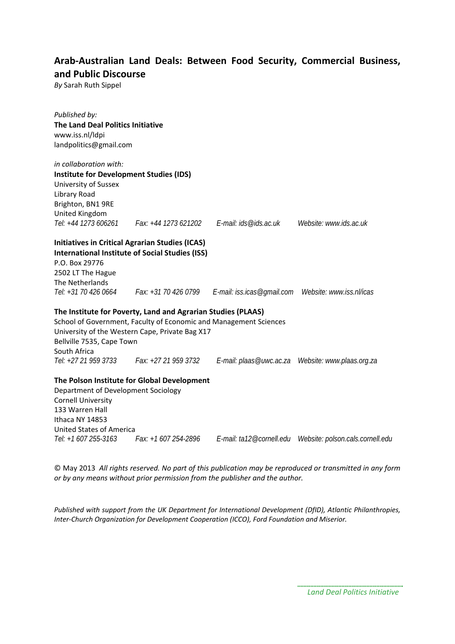#### **Arab-Australian Land Deals: Between Food Security, Commercial Business, and Public Discourse**

*By* Sarah Ruth Sippel

*Published by:* **The Land Deal Politics Initiative** www.iss.nl/ldpi landpolitics@gmail.com *in collaboration with:*  **Institute for Development Studies (IDS)** University of Sussex Library Road Brighton, BN1 9RE United Kingdom *Tel: +44 1273 606261 Fax: +44 1273 621202 E-mail: ids@ids.ac.uk Website: www.ids.ac.uk* **Initiatives in Critical Agrarian Studies (ICAS) International Institute of Social Studies (ISS)** P.O. Box 29776 2502 LT The Hague The Netherlands *Tel: +31 70 426 0664 Fax: +31 70 426 0799 E-mail: iss.icas@gmail.com Website: www.iss.nl/icas* **The Institute for Poverty, Land and Agrarian Studies (PLAAS)** School of Government, Faculty of Economic and Management Sciences University of the Western Cape, Private Bag X17 Bellville 7535, Cape Town South Africa *Tel: +27 21 959 3733 Fax: +27 21 959 3732 E-mail: plaas@uwc.ac.za Website: www.plaas.org.za* **The Polson Institute for Global Development** Department of Development Sociology Cornell University 133 Warren Hall Ithaca NY 14853 United States of America *Tel: +1 607 255-3163 Fax: +1 607 254-2896 E-mail: ta12@cornell.edu Website: polson.cals.cornell.edu*

© May 2013 *All rights reserved. No part of this publication may be reproduced or transmitted in any form or by any means without prior permission from the publisher and the author.*

*Published with support from the UK Department for International Development (DfID), Atlantic Philanthropies, Inter-Church Organization for Development Cooperation (ICCO), Ford Foundation and Miserior.*

> *Land Deal Politics Initiative*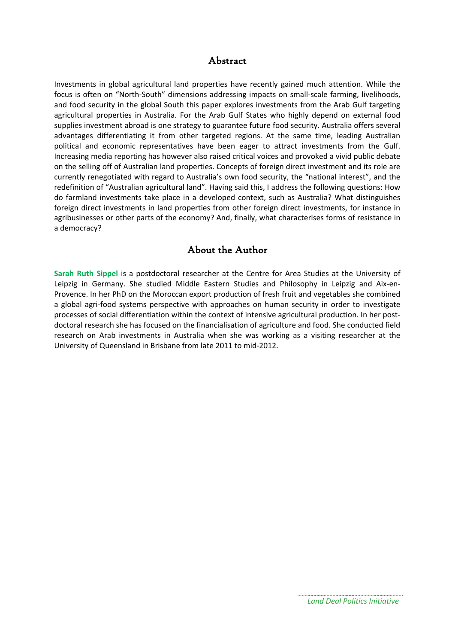#### Abstract

Investments in global agricultural land properties have recently gained much attention. While the focus is often on "North-South" dimensions addressing impacts on small-scale farming, livelihoods, and food security in the global South this paper explores investments from the Arab Gulf targeting agricultural properties in Australia. For the Arab Gulf States who highly depend on external food supplies investment abroad is one strategy to guarantee future food security. Australia offers several advantages differentiating it from other targeted regions. At the same time, leading Australian political and economic representatives have been eager to attract investments from the Gulf. Increasing media reporting has however also raised critical voices and provoked a vivid public debate on the selling off of Australian land properties. Concepts of foreign direct investment and its role are currently renegotiated with regard to Australia's own food security, the "national interest", and the redefinition of "Australian agricultural land". Having said this, I address the following questions: How do farmland investments take place in a developed context, such as Australia? What distinguishes foreign direct investments in land properties from other foreign direct investments, for instance in agribusinesses or other parts of the economy? And, finally, what characterises forms of resistance in a democracy?

#### About the Author

**Sarah Ruth Sippel** is a postdoctoral researcher at the Centre for Area Studies at the University of Leipzig in Germany. She studied Middle Eastern Studies and Philosophy in Leipzig and Aix-en-Provence. In her PhD on the Moroccan export production of fresh fruit and vegetables she combined a global agri-food systems perspective with approaches on human security in order to investigate processes of social differentiation within the context of intensive agricultural production. In her postdoctoral research she has focused on the financialisation of agriculture and food. She conducted field research on Arab investments in Australia when she was working as a visiting researcher at the University of Queensland in Brisbane from late 2011 to mid-2012.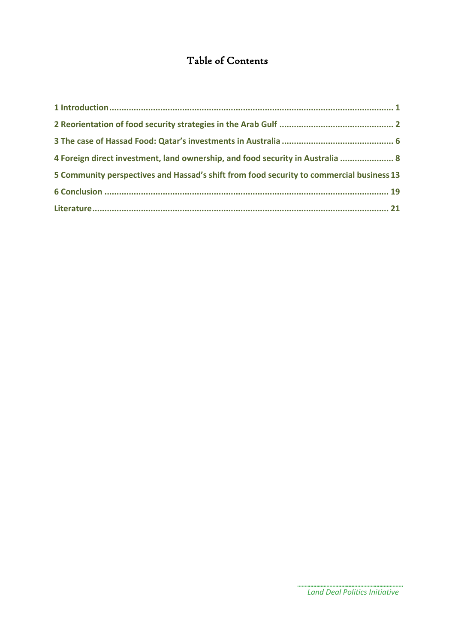### Table of Contents

| 4 Foreign direct investment, land ownership, and food security in Australia  8           |  |
|------------------------------------------------------------------------------------------|--|
| 5 Community perspectives and Hassad's shift from food security to commercial business 13 |  |
|                                                                                          |  |
|                                                                                          |  |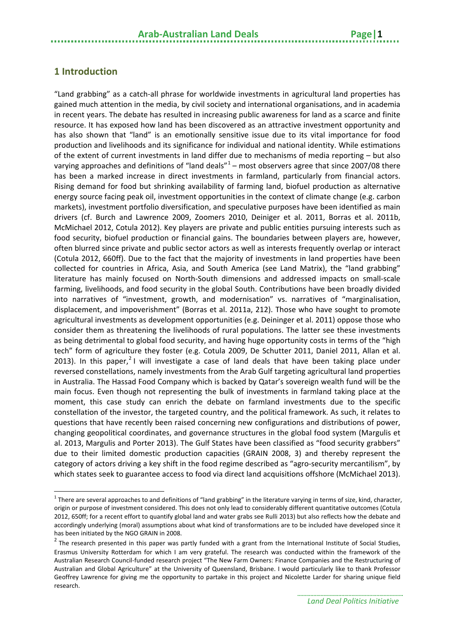#### <span id="page-4-0"></span>**1 Introduction**

 $\overline{a}$ 

"Land grabbing" as a catch-all phrase for worldwide investments in agricultural land properties has gained much attention in the media, by civil society and international organisations, and in academia in recent years. The debate has resulted in increasing public awareness for land as a scarce and finite resource. It has exposed how land has been discovered as an attractive investment opportunity and has also shown that "land" is an emotionally sensitive issue due to its vital importance for food production and livelihoods and its significance for individual and national identity. While estimations of the extent of current investments in land differ due to mechanisms of media reporting – but also varying approaches and definitions of "land deals" $1 1 -$  most observers agree that since 2007/08 there has been a marked increase in direct investments in farmland, particularly from financial actors. Rising demand for food but shrinking availability of farming land, biofuel production as alternative energy source facing peak oil, investment opportunities in the context of climate change (e.g. carbon markets), investment portfolio diversification, and speculative purposes have been identified as main drivers (cf. Burch and Lawrence 2009, Zoomers 2010, Deiniger et al. 2011, Borras et al. 2011b, McMichael 2012, Cotula 2012). Key players are private and public entities pursuing interests such as food security, biofuel production or financial gains. The boundaries between players are, however, often blurred since private and public sector actors as well as interests frequently overlap or interact (Cotula 2012, 660ff). Due to the fact that the majority of investments in land properties have been collected for countries in Africa, Asia, and South America (see Land Matrix), the "land grabbing" literature has mainly focused on North-South dimensions and addressed impacts on small-scale farming, livelihoods, and food security in the global South. Contributions have been broadly divided into narratives of "investment, growth, and modernisation" vs. narratives of "marginalisation, displacement, and impoverishment" (Borras et al. 2011a, 212). Those who have sought to promote agricultural investments as development opportunities (e.g. Deininger et al. 2011) oppose those who consider them as threatening the livelihoods of rural populations. The latter see these investments as being detrimental to global food security, and having huge opportunity costs in terms of the "high tech" form of agriculture they foster (e.g. Cotula 2009, De Schutter 2011, Daniel 2011, Allan et al. [2](#page-4-2)013). In this paper,<sup>2</sup> I will investigate a case of land deals that have been taking place under reversed constellations, namely investments from the Arab Gulf targeting agricultural land properties in Australia. The Hassad Food Company which is backed by Qatar's sovereign wealth fund will be the main focus. Even though not representing the bulk of investments in farmland taking place at the moment, this case study can enrich the debate on farmland investments due to the specific constellation of the investor, the targeted country, and the political framework. As such, it relates to questions that have recently been raised concerning new configurations and distributions of power, changing geopolitical coordinates, and governance structures in the global food system (Margulis et al. 2013, Margulis and Porter 2013). The Gulf States have been classified as "food security grabbers" due to their limited domestic production capacities (GRAIN 2008, 3) and thereby represent the category of actors driving a key shift in the food regime described as "agro-security mercantilism", by which states seek to guarantee access to food via direct land acquisitions offshore (McMichael 2013).

<span id="page-4-1"></span> $^1$  There are several approaches to and definitions of "land grabbing" in the literature varying in terms of size, kind, character, origin or purpose of investment considered. This does not only lead to considerably different quantitative outcomes (Cotula 2012, 650ff; for a recent effort to quantify global land and water grabs see Rulli 2013) but also reflects how the debate and accordingly underlying (moral) assumptions about what kind of transformations are to be included have developed since it has been initiated by the NGO GRAIN in 2008.

<span id="page-4-2"></span> $2$  The research presented in this paper was partly funded with a grant from the International Institute of Social Studies, Erasmus University Rotterdam for which I am very grateful. The research was conducted within the framework of the Australian Research Council-funded research project "The New Farm Owners: Finance Companies and the Restructuring of Australian and Global Agriculture" at the University of Queensland, Brisbane. I would particularly like to thank Professor Geoffrey Lawrence for giving me the opportunity to partake in this project and Nicolette Larder for sharing unique field research.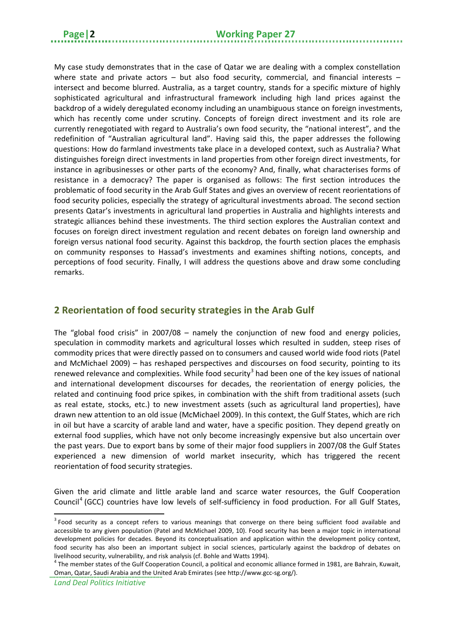My case study demonstrates that in the case of Qatar we are dealing with a complex constellation where state and private actors – but also food security, commercial, and financial interests – intersect and become blurred. Australia, as a target country, stands for a specific mixture of highly sophisticated agricultural and infrastructural framework including high land prices against the backdrop of a widely deregulated economy including an unambiguous stance on foreign investments, which has recently come under scrutiny. Concepts of foreign direct investment and its role are currently renegotiated with regard to Australia's own food security, the "national interest", and the redefinition of "Australian agricultural land". Having said this, the paper addresses the following questions: How do farmland investments take place in a developed context, such as Australia? What distinguishes foreign direct investments in land properties from other foreign direct investments, for instance in agribusinesses or other parts of the economy? And, finally, what characterises forms of resistance in a democracy? The paper is organised as follows: The first section introduces the problematic of food security in the Arab Gulf States and gives an overview of recent reorientations of food security policies, especially the strategy of agricultural investments abroad. The second section presents Qatar's investments in agricultural land properties in Australia and highlights interests and strategic alliances behind these investments. The third section explores the Australian context and focuses on foreign direct investment regulation and recent debates on foreign land ownership and foreign versus national food security. Against this backdrop, the fourth section places the emphasis on community responses to Hassad's investments and examines shifting notions, concepts, and perceptions of food security. Finally, I will address the questions above and draw some concluding remarks.

#### <span id="page-5-0"></span>**2 Reorientation of food security strategies in the Arab Gulf**

The "global food crisis" in 2007/08 – namely the conjunction of new food and energy policies, speculation in commodity markets and agricultural losses which resulted in sudden, steep rises of commodity prices that were directly passed on to consumers and caused world wide food riots (Patel and McMichael 2009) – has reshaped perspectives and discourses on food security, pointing to its renewed relevance and complexities. While food security<sup>[3](#page-5-1)</sup> had been one of the key issues of national and international development discourses for decades, the reorientation of energy policies, the related and continuing food price spikes, in combination with the shift from traditional assets (such as real estate, stocks, etc.) to new investment assets (such as agricultural land properties), have drawn new attention to an old issue (McMichael 2009). In this context, the Gulf States, which are rich in oil but have a scarcity of arable land and water, have a specific position. They depend greatly on external food supplies, which have not only become increasingly expensive but also uncertain over the past years. Due to export bans by some of their major food suppliers in 2007/08 the Gulf States experienced a new dimension of world market insecurity, which has triggered the recent reorientation of food security strategies.

Given the arid climate and little arable land and scarce water resources, the Gulf Cooperation Council<sup>[4](#page-5-2)</sup> (GCC) countries have low levels of self-sufficiency in food production. For all Gulf States,

<span id="page-5-1"></span> $3$  Food security as a concept refers to various meanings that converge on there being sufficient food available and accessible to any given population (Patel and McMichael 2009, 10). Food security has been a major topic in international development policies for decades. Beyond its conceptualisation and application within the development policy context, food security has also been an important subject in social sciences, particularly against the backdrop of debates on livelihood security, vulnerability, and risk analysis (cf. Bohle and Watts 1994).

<span id="page-5-2"></span><sup>&</sup>lt;sup>4</sup> The member states of the Gulf Cooperation Council, a political and economic alliance formed in 1981, are Bahrain, Kuwait, Oman, Qatar, Saudi Arabia and the United Arab Emirates (see http://www.gcc-sg.org/).

*Land Deal Politics Initiative*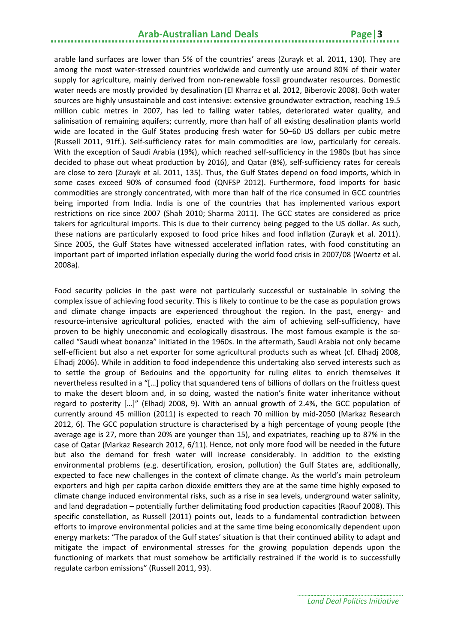arable land surfaces are lower than 5% of the countries' areas (Zurayk et al. 2011, 130). They are among the most water-stressed countries worldwide and currently use around 80% of their water supply for agriculture, mainly derived from non-renewable fossil groundwater resources. Domestic water needs are mostly provided by desalination (El Kharraz et al. 2012, Biberovic 2008). Both water sources are highly unsustainable and cost intensive: extensive groundwater extraction, reaching 19.5 million cubic metres in 2007, has led to falling water tables, deteriorated water quality, and salinisation of remaining aquifers; currently, more than half of all existing desalination plants world wide are located in the Gulf States producing fresh water for 50–60 US dollars per cubic metre (Russell 2011, 91ff.). Self-sufficiency rates for main commodities are low, particularly for cereals. With the exception of Saudi Arabia (19%), which reached self-sufficiency in the 1980s (but has since decided to phase out wheat production by 2016), and Qatar (8%), self-sufficiency rates for cereals are close to zero (Zurayk et al. 2011, 135). Thus, the Gulf States depend on food imports, which in some cases exceed 90% of consumed food (QNFSP 2012). Furthermore, food imports for basic commodities are strongly concentrated, with more than half of the rice consumed in GCC countries being imported from India. India is one of the countries that has implemented various export restrictions on rice since 2007 (Shah 2010; Sharma 2011). The GCC states are considered as price takers for agricultural imports. This is due to their currency being pegged to the US dollar. As such, these nations are particularly exposed to food price hikes and food inflation (Zurayk et al. 2011). Since 2005, the Gulf States have witnessed accelerated inflation rates, with food constituting an important part of imported inflation especially during the world food crisis in 2007/08 (Woertz et al. 2008a).

Food security policies in the past were not particularly successful or sustainable in solving the complex issue of achieving food security. This is likely to continue to be the case as population grows and climate change impacts are experienced throughout the region. In the past, energy- and resource-intensive agricultural policies, enacted with the aim of achieving self-sufficiency, have proven to be highly uneconomic and ecologically disastrous. The most famous example is the socalled "Saudi wheat bonanza" initiated in the 1960s. In the aftermath, Saudi Arabia not only became self-efficient but also a net exporter for some agricultural products such as wheat (cf. Elhadj 2008, Elhadj 2006). While in addition to food independence this undertaking also served interests such as to settle the group of Bedouins and the opportunity for ruling elites to enrich themselves it nevertheless resulted in a "[…] policy that squandered tens of billions of dollars on the fruitless quest to make the desert bloom and, in so doing, wasted the nation's finite water inheritance without regard to posterity […]" (Elhadj 2008, 9). With an annual growth of 2.4%, the GCC population of currently around 45 million (2011) is expected to reach 70 million by mid-2050 (Markaz Research 2012, 6). The GCC population structure is characterised by a high percentage of young people (the average age is 27, more than 20% are younger than 15), and expatriates, reaching up to 87% in the case of Qatar (Markaz Research 2012, 6/11). Hence, not only more food will be needed in the future but also the demand for fresh water will increase considerably. In addition to the existing environmental problems (e.g. desertification, erosion, pollution) the Gulf States are, additionally, expected to face new challenges in the context of climate change. As the world's main petroleum exporters and high per capita carbon dioxide emitters they are at the same time highly exposed to climate change induced environmental risks, such as a rise in sea levels, underground water salinity, and land degradation – potentially further delimitating food production capacities (Raouf 2008). This specific constellation, as Russell (2011) points out, leads to a fundamental contradiction between efforts to improve environmental policies and at the same time being economically dependent upon energy markets: "The paradox of the Gulf states' situation is that their continued ability to adapt and mitigate the impact of environmental stresses for the growing population depends upon the functioning of markets that must somehow be artificially restrained if the world is to successfully regulate carbon emissions" (Russell 2011, 93).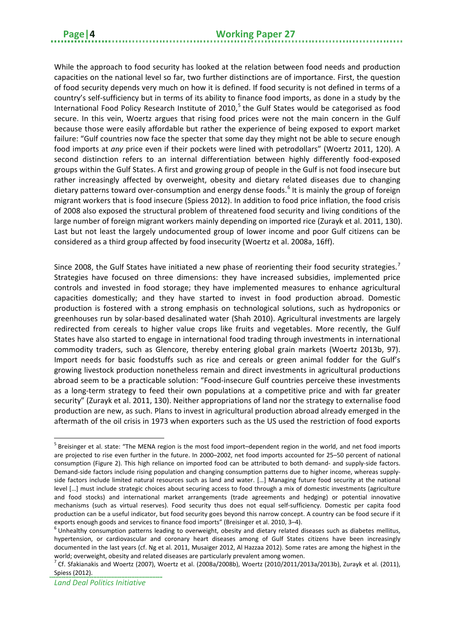While the approach to food security has looked at the relation between food needs and production capacities on the national level so far, two further distinctions are of importance. First, the question of food security depends very much on how it is defined. If food security is not defined in terms of a country's self-sufficiency but in terms of its ability to finance food imports, as done in a study by the International Food Policy Research Institute of 2010,<sup>[5](#page-7-0)</sup> the Gulf States would be categorised as food secure. In this vein, Woertz argues that rising food prices were not the main concern in the Gulf because those were easily affordable but rather the experience of being exposed to export market failure: "Gulf countries now face the specter that some day they might not be able to secure enough food imports at *any* price even if their pockets were lined with petrodollars" (Woertz 2011, 120). A second distinction refers to an internal differentiation between highly differently food-exposed groups within the Gulf States. A first and growing group of people in the Gulf is not food insecure but rather increasingly affected by overweight, obesity and dietary related diseases due to changing dietary patterns toward over-consumption and energy dense foods.<sup>[6](#page-7-1)</sup> It is mainly the group of foreign migrant workers that is food insecure (Spiess 2012). In addition to food price inflation, the food crisis of 2008 also exposed the structural problem of threatened food security and living conditions of the large number of foreign migrant workers mainly depending on imported rice (Zurayk et al. 2011, 130). Last but not least the largely undocumented group of lower income and poor Gulf citizens can be considered as a third group affected by food insecurity (Woertz et al. 2008a, 16ff).

Since 2008, the Gulf States have initiated a new phase of reorienting their food security strategies.<sup>[7](#page-7-2)</sup> Strategies have focused on three dimensions: they have increased subsidies, implemented price controls and invested in food storage; they have implemented measures to enhance agricultural capacities domestically; and they have started to invest in food production abroad. Domestic production is fostered with a strong emphasis on technological solutions, such as hydroponics or greenhouses run by solar-based desalinated water (Shah 2010). Agricultural investments are largely redirected from cereals to higher value crops like fruits and vegetables. More recently, the Gulf States have also started to engage in international food trading through investments in international commodity traders, such as Glencore, thereby entering global grain markets (Woertz 2013b, 97). Import needs for basic foodstuffs such as rice and cereals or green animal fodder for the Gulf's growing livestock production nonetheless remain and direct investments in agricultural productions abroad seem to be a practicable solution: "Food-insecure Gulf countries perceive these investments as a long-term strategy to feed their own populations at a competitive price and with far greater security" (Zurayk et al. 2011, 130). Neither appropriations of land nor the strategy to externalise food production are new, as such. Plans to invest in agricultural production abroad already emerged in the aftermath of the oil crisis in 1973 when exporters such as the US used the restriction of food exports

<span id="page-7-0"></span> $<sup>5</sup>$  Breisinger et al. state: "The MENA region is the most food import–dependent region in the world, and net food imports</sup> are projected to rise even further in the future. In 2000–2002, net food imports accounted for 25–50 percent of national consumption (Figure 2). This high reliance on imported food can be attributed to both demand- and supply-side factors. Demand-side factors include rising population and changing consumption patterns due to higher income, whereas supplyside factors include limited natural resources such as land and water. […] Managing future food security at the national level […] must include strategic choices about securing access to food through a mix of domestic investments (agriculture and food stocks) and international market arrangements (trade agreements and hedging) or potential innovative mechanisms (such as virtual reserves). Food security thus does not equal self-sufficiency. Domestic per capita food production can be a useful indicator, but food security goes beyond this narrow concept. A country can be food secure if it exports enough goods and services to finance food imports" (Breisinger et al. 2010, 3–4).<br><sup>6</sup> Unhealthy consumption patterns leading to overweight, obesity and dietary related diseases such as diabetes mellitus, **.** 

<span id="page-7-1"></span>hypertension, or cardiovascular and coronary heart diseases among of Gulf States citizens have been increasingly documented in the last years (cf. Ng et al. 2011, Musaiger 2012, Al Hazzaa 2012). Some rates are among the highest in the world; overweight, obesity and related diseases are particularly prevalent among women.

<span id="page-7-2"></span><sup>&</sup>lt;sup>7</sup> Cf. Sfakianakis and Woertz (2007), Woertz et al. (2008a/2008b), Woertz (2010/2011/2013a/2013b), Zurayk et al. (2011), Spiess (2012).

*Land Deal Politics Initiative*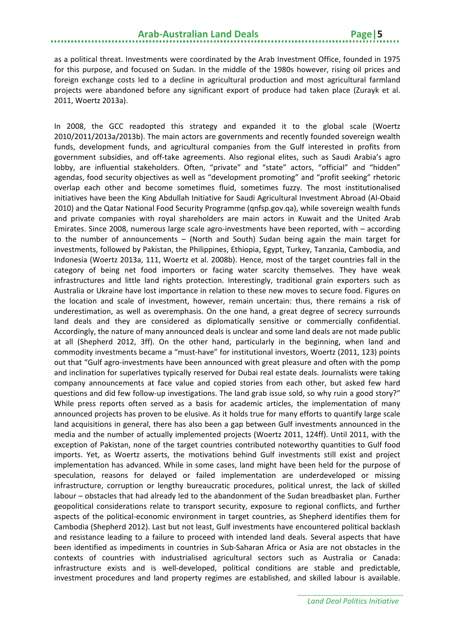as a political threat. Investments were coordinated by the Arab Investment Office, founded in 1975 for this purpose, and focused on Sudan. In the middle of the 1980s however, rising oil prices and foreign exchange costs led to a decline in agricultural production and most agricultural farmland projects were abandoned before any significant export of produce had taken place (Zurayk et al. 2011, Woertz 2013a).

In 2008, the GCC readopted this strategy and expanded it to the global scale (Woertz 2010/2011/2013a/2013b). The main actors are governments and recently founded sovereign wealth funds, development funds, and agricultural companies from the Gulf interested in profits from government subsidies, and off-take agreements. Also regional elites, such as Saudi Arabia's agro lobby, are influential stakeholders. Often, "private" and "state" actors, "official" and "hidden" agendas, food security objectives as well as "development promoting" and "profit seeking" rhetoric overlap each other and become sometimes fluid, sometimes fuzzy. The most institutionalised initiatives have been the King Abdullah Initiative for Saudi Agricultural Investment Abroad (Al-Obaid 2010) and the Qatar National Food Security Programme (qnfsp.gov.qa), while sovereign wealth funds and private companies with royal shareholders are main actors in Kuwait and the United Arab Emirates. Since 2008, numerous large scale agro-investments have been reported, with – according to the number of announcements – (North and South) Sudan being again the main target for investments, followed by Pakistan, the Philippines, Ethiopia, Egypt, Turkey, Tanzania, Cambodia, and Indonesia (Woertz 2013a, 111, Woertz et al. 2008b). Hence, most of the target countries fall in the category of being net food importers or facing water scarcity themselves. They have weak infrastructures and little land rights protection. Interestingly, traditional grain exporters such as Australia or Ukraine have lost importance in relation to these new moves to secure food. Figures on the location and scale of investment, however, remain uncertain: thus, there remains a risk of underestimation, as well as overemphasis. On the one hand, a great degree of secrecy surrounds land deals and they are considered as diplomatically sensitive or commercially confidential. Accordingly, the nature of many announced deals is unclear and some land deals are not made public at all (Shepherd 2012, 3ff). On the other hand, particularly in the beginning, when land and commodity investments became a "must-have" for institutional investors, Woertz (2011, 123) points out that "Gulf agro-investments have been announced with great pleasure and often with the pomp and inclination for superlatives typically reserved for Dubai real estate deals. Journalists were taking company announcements at face value and copied stories from each other, but asked few hard questions and did few follow-up investigations. The land grab issue sold, so why ruin a good story?" While press reports often served as a basis for academic articles, the implementation of many announced projects has proven to be elusive. As it holds true for many efforts to quantify large scale land acquisitions in general, there has also been a gap between Gulf investments announced in the media and the number of actually implemented projects (Woertz 2011, 124ff). Until 2011, with the exception of Pakistan, none of the target countries contributed noteworthy quantities to Gulf food imports. Yet, as Woertz asserts, the motivations behind Gulf investments still exist and project implementation has advanced. While in some cases, land might have been held for the purpose of speculation, reasons for delayed or failed implementation are underdeveloped or missing infrastructure, corruption or lengthy bureaucratic procedures, political unrest, the lack of skilled labour – obstacles that had already led to the abandonment of the Sudan breadbasket plan. Further geopolitical considerations relate to transport security, exposure to regional conflicts, and further aspects of the political-economic environment in target countries, as Shepherd identifies them for Cambodia (Shepherd 2012). Last but not least, Gulf investments have encountered political backlash and resistance leading to a failure to proceed with intended land deals. Several aspects that have been identified as impediments in countries in Sub-Saharan Africa or Asia are not obstacles in the contexts of countries with industrialised agricultural sectors such as Australia or Canada: infrastructure exists and is well-developed, political conditions are stable and predictable, investment procedures and land property regimes are established, and skilled labour is available.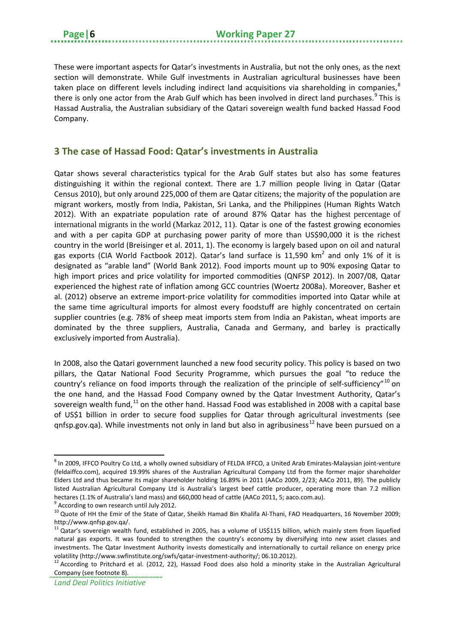These were important aspects for Qatar's investments in Australia, but not the only ones, as the next section will demonstrate. While Gulf investments in Australian agricultural businesses have been taken place on different levels including indirect land acquisitions via shareholding in companies,  ${}^{8}$  ${}^{8}$  ${}^{8}$ there is only one actor from the Arab Gulf which has been involved in direct land purchases.<sup>[9](#page-9-2)</sup> This is Hassad Australia, the Australian subsidiary of the Qatari sovereign wealth fund backed Hassad Food Company.

#### <span id="page-9-0"></span>**3 The case of Hassad Food: Qatar's investments in Australia**

Qatar shows several characteristics typical for the Arab Gulf states but also has some features distinguishing it within the regional context. There are 1.7 million people living in Qatar (Qatar Census 2010), but only around 225,000 of them are Qatar citizens; the majority of the population are migrant workers, mostly from India, Pakistan, Sri Lanka, and the Philippines (Human Rights Watch 2012). With an expatriate population rate of around 87% Qatar has the highest percentage of international migrants in the world (Markaz 2012, 11). Qatar is one of the fastest growing economies and with a per capita GDP at purchasing power parity of more than US\$90,000 it is the richest country in the world (Breisinger et al. 2011, 1). The economy is largely based upon on oil and natural gas exports (CIA World Factbook 2012). Qatar's land surface is 11,590  $km^2$  and only 1% of it is designated as "arable land" (World Bank 2012). Food imports mount up to 90% exposing Qatar to high import prices and price volatility for imported commodities (QNFSP 2012). In 2007/08, Qatar experienced the highest rate of inflation among GCC countries (Woertz 2008a). Moreover, Basher et al. (2012) observe an extreme import-price volatility for commodities imported into Qatar while at the same time agricultural imports for almost every foodstuff are highly concentrated on certain supplier countries (e.g. 78% of sheep meat imports stem from India an Pakistan, wheat imports are dominated by the three suppliers, Australia, Canada and Germany, and barley is practically exclusively imported from Australia).

In 2008, also the Qatari government launched a new food security policy. This policy is based on two pillars, the Qatar National Food Security Programme, which pursues the goal "to reduce the country's reliance on food imports through the realization of the principle of self-sufficiency"[10](#page-9-3) on the one hand, and the Hassad Food Company owned by the Qatar Investment Authority, Qatar's sovereign wealth fund,<sup>[11](#page-9-4)</sup> on the other hand. Hassad Food was established in 2008 with a capital base of US\$1 billion in order to secure food supplies for Qatar through agricultural investments (see qnfsp.gov.qa). While investments not only in land but also in agribusiness<sup>[12](#page-9-5)</sup> have been pursued on a

<span id="page-9-1"></span><sup>&</sup>lt;sup>8</sup> In 2009, IFFCO Poultry Co Ltd, a wholly owned subsidiary of FELDA IFFCO, a United Arab Emirates-Malaysian joint-venture (feldaiffco.com), acquired 19.99% shares of the Australian Agricultural Company Ltd from the former major shareholder Elders Ltd and thus became its major shareholder holding 16.89% in 2011 (AACo 2009, 2/23; AACo 2011, 89). The publicly listed Australian Agricultural Company Ltd is Australia's largest beef cattle producer, operating more than 7.2 million hectares (1.1% of Australia's land mass) and 660,000 head of cattle (AACo 2011, 5; aaco.com.au).

<span id="page-9-2"></span> $9$  According to own research until July 2012.

<span id="page-9-3"></span><sup>&</sup>lt;sup>10</sup> Quote of HH the Emir of the State of Qatar, Sheikh Hamad Bin Khalifa Al-Thani, FAO Headquarters, 16 November 2009; http://www.qnfsp.gov.qa/.

<span id="page-9-4"></span> $11$  Qatar's sovereign wealth fund, established in 2005, has a volume of US\$115 billion, which mainly stem from liquefied natural gas exports. It was founded to strengthen the country's economy by diversifying into new asset classes and investments. The Qatar Investment Authority invests domestically and internationally to curtail reliance on energy price

<span id="page-9-5"></span>volatility (http://www.swfinstitute.org/swfs/qatar-investment-authority/; 06.10.2012).<br><sup>12</sup> According to Pritchard et al. (2012, 22), Hassad Food does also hold a minority stake in the Australian Agricultural Company (see footnote 8).

*Land Deal Politics Initiative*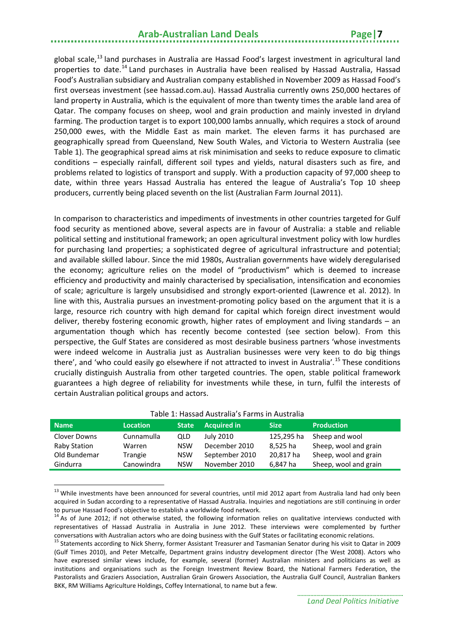global scale,<sup>[13](#page-10-0)</sup> land purchases in Australia are Hassad Food's largest investment in agricultural land properties to date.<sup>[14](#page-10-1)</sup> Land purchases in Australia have been realised by Hassad Australia, Hassad Food's Australian subsidiary and Australian company established in November 2009 as Hassad Food's first overseas investment (see hassad.com.au). Hassad Australia currently owns 250,000 hectares of land property in Australia, which is the equivalent of more than twenty times the arable land area of Qatar. The company focuses on sheep, wool and grain production and mainly invested in dryland farming. The production target is to export 100,000 lambs annually, which requires a stock of around 250,000 ewes, with the Middle East as main market. The eleven farms it has purchased are geographically spread from Queensland, New South Wales, and Victoria to Western Australia (see Table 1). The geographical spread aims at risk minimisation and seeks to reduce exposure to climatic conditions – especially rainfall, different soil types and yields, natural disasters such as fire, and problems related to logistics of transport and supply. With a production capacity of 97,000 sheep to date, within three years Hassad Australia has entered the league of Australia's Top 10 sheep producers, currently being placed seventh on the list (Australian Farm Journal 2011).

In comparison to characteristics and impediments of investments in other countries targeted for Gulf food security as mentioned above, several aspects are in favour of Australia: a stable and reliable political setting and institutional framework; an open agricultural investment policy with low hurdles for purchasing land properties; a sophisticated degree of agricultural infrastructure and potential; and available skilled labour. Since the mid 1980s, Australian governments have widely deregularised the economy; agriculture relies on the model of "productivism" which is deemed to increase efficiency and productivity and mainly characterised by specialisation, intensification and economies of scale; agriculture is largely unsubsidised and strongly export-oriented (Lawrence et al. 2012). In line with this, Australia pursues an investment-promoting policy based on the argument that it is a large, resource rich country with high demand for capital which foreign direct investment would deliver, thereby fostering economic growth, higher rates of employment and living standards – an argumentation though which has recently become contested (see section below). From this perspective, the Gulf States are considered as most desirable business partners 'whose investments were indeed welcome in Australia just as Australian businesses were very keen to do big things there', and 'who could easily go elsewhere if not attracted to invest in Australia'.<sup>[15](#page-10-2)</sup> These conditions crucially distinguish Australia from other targeted countries. The open, stable political framework guarantees a high degree of reliability for investments while these, in turn, fulfil the interests of certain Australian political groups and actors.

| Table 1. Hassau Australia s Farilis III Australia |                 |              |                    |             |                       |  |  |  |
|---------------------------------------------------|-----------------|--------------|--------------------|-------------|-----------------------|--|--|--|
| <b>Name</b>                                       | <b>Location</b> | <b>State</b> | <b>Acquired in</b> | <b>Size</b> | <b>Production</b>     |  |  |  |
| Clover Downs                                      | Cunnamulla      | QLD          | July 2010          | 125,295 ha  | Sheep and wool        |  |  |  |
| Raby Station                                      | Warren          | NSW          | December 2010      | 8,525 ha    | Sheep, wool and grain |  |  |  |
| Old Bundemar                                      | Trangie         | <b>NSW</b>   | September 2010     | 20,817 ha   | Sheep, wool and grain |  |  |  |
| Gindurra                                          | Canowindra      | <b>NSW</b>   | November 2010      | 6.847 ha    | Sheep, wool and grain |  |  |  |

#### Table 1: Hassad Australia's Farms in Australia

<span id="page-10-0"></span><sup>&</sup>lt;sup>13</sup> While investments have been announced for several countries, until mid 2012 apart from Australia land had only been acquired in Sudan according to a representative of Hassad Australia. Inquiries and negotiations are still continuing in order to pursue Hassad Food's objective to establish a worldwide food network.

<span id="page-10-1"></span><sup>&</sup>lt;sup>14</sup> As of June 2012; if not otherwise stated, the following information relies on qualitative interviews conducted with representatives of Hassad Australia in Australia in June 2012. These interviews were complemented by further conversations with Australian actors who are doing business with the Gulf States or facilitating economic relations.<br><sup>15</sup> Statements according to Nick Sherry, former Assistant Treasurer and Tasmanian Senator during his vis

<span id="page-10-2"></span><sup>(</sup>Gulf Times 2010), and Peter Metcalfe, Department grains industry development director (The West 2008). Actors who have expressed similar views include, for example, several (former) Australian ministers and politicians as well as institutions and organisations such as the Foreign Investment Review Board, the National Farmers Federation, the Pastoralists and Graziers Association, Australian Grain Growers Association, the Australia Gulf Council, Australian Bankers BKK, RM Williams Agriculture Holdings, Coffey International, to name but a few.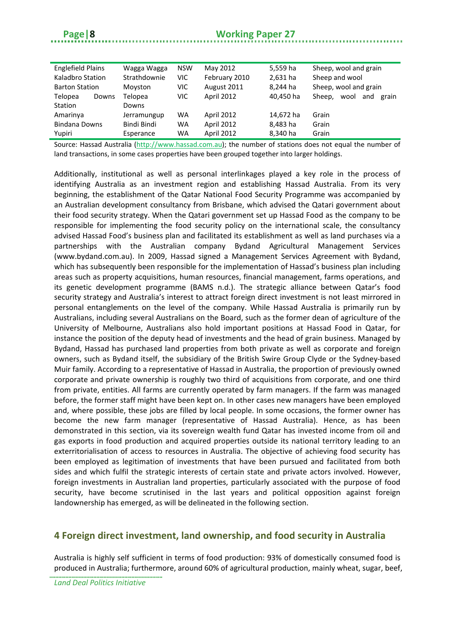#### **Page|8 Working Paper 27**

| <b>Englefield Plains</b> | Wagga Wagga  | <b>NSW</b> | May 2012      | 5,559 ha  | Sheep, wool and grain       |
|--------------------------|--------------|------------|---------------|-----------|-----------------------------|
| Kaladbro Station         | Strathdownie | VIC.       | February 2010 | 2,631 ha  | Sheep and wool              |
| <b>Barton Station</b>    | Moyston      | VIC.       | August 2011   | 8.244 ha  | Sheep, wool and grain       |
| Telopea<br>Downs         | Telopea      | VIC.       | April 2012    | 40,450 ha | wool and<br>Sheep.<br>grain |
| Station                  | Downs        |            |               |           |                             |
| Amarinya                 | Jerramungup  | <b>WA</b>  | April 2012    | 14,672 ha | Grain                       |
| <b>Bindana Downs</b>     | Bindi Bindi  | <b>WA</b>  | April 2012    | 8,483 ha  | Grain                       |
| Yupiri                   | Esperance    | WA         | April 2012    | 8,340 ha  | Grain                       |
|                          |              |            |               |           |                             |

Source: Hassad Australia [\(http://www.hassad.com.au\)](http://www.hassad.com.au/); the number of stations does not equal the number of land transactions, in some cases properties have been grouped together into larger holdings.

Additionally, institutional as well as personal interlinkages played a key role in the process of identifying Australia as an investment region and establishing Hassad Australia. From its very beginning, the establishment of the Qatar National Food Security Programme was accompanied by an Australian development consultancy from Brisbane, which advised the Qatari government about their food security strategy. When the Qatari government set up Hassad Food as the company to be responsible for implementing the food security policy on the international scale, the consultancy advised Hassad Food's business plan and facilitated its establishment as well as land purchases via a partnerships with the Australian company Bydand Agricultural Management Services (www.bydand.com.au). In 2009, Hassad signed a Management Services Agreement with Bydand, which has subsequently been responsible for the implementation of Hassad's business plan including areas such as property acquisitions, human resources, financial management, farms operations, and its genetic development programme (BAMS n.d.). The strategic alliance between Qatar's food security strategy and Australia's interest to attract foreign direct investment is not least mirrored in personal entanglements on the level of the company. While Hassad Australia is primarily run by Australians, including several Australians on the Board, such as the former dean of agriculture of the University of Melbourne, Australians also hold important positions at Hassad Food in Qatar, for instance the position of the deputy head of investments and the head of grain business. Managed by Bydand, Hassad has purchased land properties from both private as well as corporate and foreign owners, such as Bydand itself, the subsidiary of the British Swire Group Clyde or the Sydney-based Muir family. According to a representative of Hassad in Australia, the proportion of previously owned corporate and private ownership is roughly two third of acquisitions from corporate, and one third from private, entities. All farms are currently operated by farm managers. If the farm was managed before, the former staff might have been kept on. In other cases new managers have been employed and, where possible, these jobs are filled by local people. In some occasions, the former owner has become the new farm manager (representative of Hassad Australia). Hence, as has been demonstrated in this section, via its sovereign wealth fund Qatar has invested income from oil and gas exports in food production and acquired properties outside its national territory leading to an exterritorialisation of access to resources in Australia. The objective of achieving food security has been employed as legitimation of investments that have been pursued and facilitated from both sides and which fulfil the strategic interests of certain state and private actors involved. However, foreign investments in Australian land properties, particularly associated with the purpose of food security, have become scrutinised in the last years and political opposition against foreign landownership has emerged, as will be delineated in the following section.

#### <span id="page-11-0"></span>**4 Foreign direct investment, land ownership, and food security in Australia**

Australia is highly self sufficient in terms of food production: 93% of domestically consumed food is produced in Australia; furthermore, around 60% of agricultural production, mainly wheat, sugar, beef,

*Land Deal Politics Initiative*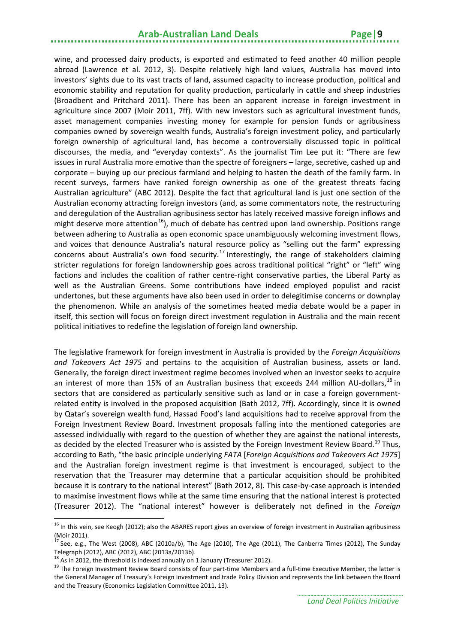wine, and processed dairy products, is exported and estimated to feed another 40 million people abroad (Lawrence et al. 2012, 3). Despite relatively high land values, Australia has moved into investors' sights due to its vast tracts of land, assumed capacity to increase production, political and economic stability and reputation for quality production, particularly in cattle and sheep industries (Broadbent and Pritchard 2011). There has been an apparent increase in foreign investment in agriculture since 2007 (Moir 2011, 7ff). With new investors such as agricultural investment funds, asset management companies investing money for example for pension funds or agribusiness companies owned by sovereign wealth funds, Australia's foreign investment policy, and particularly foreign ownership of agricultural land, has become a controversially discussed topic in political discourses, the media, and "everyday contexts". As the journalist Tim Lee put it: "There are few issues in rural Australia more emotive than the spectre of foreigners – large, secretive, cashed up and corporate – buying up our precious farmland and helping to hasten the death of the family farm. In recent surveys, farmers have ranked foreign ownership as one of the greatest threats facing Australian agriculture" (ABC 2012). Despite the fact that agricultural land is just one section of the Australian economy attracting foreign investors (and, as some commentators note, the restructuring and deregulation of the Australian agribusiness sector has lately received massive foreign inflows and might deserve more attention<sup>[16](#page-12-0)</sup>), much of debate has centred upon land ownership. Positions range between adhering to Australia as open economic space unambiguously welcoming investment flows, and voices that denounce Australia's natural resource policy as "selling out the farm" expressing concerns about Australia's own food security.<sup>[17](#page-12-1)</sup> Interestingly, the range of stakeholders claiming stricter regulations for foreign landownership goes across traditional political "right" or "left" wing factions and includes the coalition of rather centre-right conservative parties, the Liberal Party as well as the Australian Greens. Some contributions have indeed employed populist and racist undertones, but these arguments have also been used in order to delegitimise concerns or downplay the phenomenon. While an analysis of the sometimes heated media debate would be a paper in itself, this section will focus on foreign direct investment regulation in Australia and the main recent political initiatives to redefine the legislation of foreign land ownership.

The legislative framework for foreign investment in Australia is provided by the *Foreign Acquisitions and Takeovers Act 1975* and pertains to the acquisition of Australian business, assets or land. Generally, the foreign direct investment regime becomes involved when an investor seeks to acquire an interest of more than 15% of an Australian business that exceeds 244 million AU-dollars,<sup>[18](#page-12-2)</sup> in sectors that are considered as particularly sensitive such as land or in case a foreign governmentrelated entity is involved in the proposed acquisition (Bath 2012, 7ff). Accordingly, since it is owned by Qatar's sovereign wealth fund, Hassad Food's land acquisitions had to receive approval from the Foreign Investment Review Board. Investment proposals falling into the mentioned categories are assessed individually with regard to the question of whether they are against the national interests, as decided by the elected Treasurer who is assisted by the Foreign Investment Review Board.<sup>[19](#page-12-3)</sup> Thus, according to Bath, "the basic principle underlying *FATA* [*Foreign Acquisitions and Takeovers Act 1975*] and the Australian foreign investment regime is that investment is encouraged, subject to the reservation that the Treasurer may determine that a particular acquisition should be prohibited because it is contrary to the national interest" (Bath 2012, 8). This case-by-case approach is intended to maximise investment flows while at the same time ensuring that the national interest is protected (Treasurer 2012). The "national interest" however is deliberately not defined in the *Foreign* 

<span id="page-12-0"></span><sup>&</sup>lt;sup>16</sup> In this vein, see Keogh (2012); also the ABARES report gives an overview of foreign investment in Australian agribusiness (Moir 2011).

<span id="page-12-1"></span> $17$  See, e.g., The West (2008), ABC (2010a/b), The Age (2010), The Age (2011), The Canberra Times (2012), The Sunday Telegraph (2012), ABC (2012), ABC (2013a/2013b).<br><sup>18</sup> As in 2012, the threshold is indexed annually on 1 January (Treasurer 2012).

<span id="page-12-3"></span><span id="page-12-2"></span><sup>&</sup>lt;sup>19</sup> The Foreign Investment Review Board consists of four part-time Members and a full-time Executive Member, the latter is the General Manager of Treasury's Foreign Investment and trade Policy Division and represents the link between the Board and the Treasury (Economics Legislation Committee 2011, 13).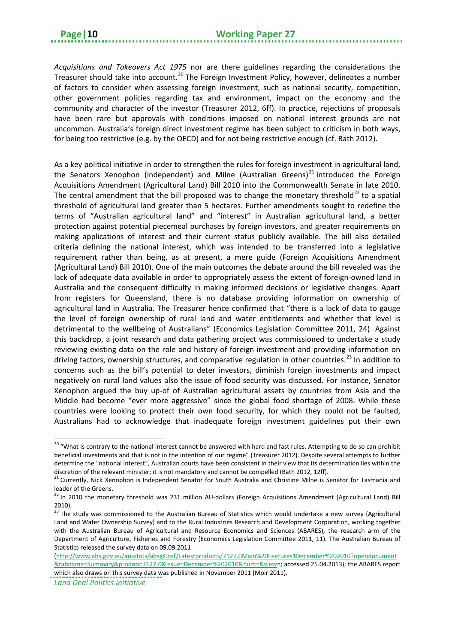*Acquisitions and Takeovers Act 1975* nor are there guidelines regarding the considerations the Treasurer should take into account.<sup>[20](#page-13-0)</sup> The Foreign Investment Policy, however, delineates a number of factors to consider when assessing foreign investment, such as national security, competition, other government policies regarding tax and environment, impact on the economy and the community and character of the investor (Treasurer 2012, 6ff). In practice, rejections of proposals have been rare but approvals with conditions imposed on national interest grounds are not uncommon. Australia's foreign direct investment regime has been subject to criticism in both ways, for being too restrictive (e.g. by the OECD) and for not being restrictive enough (cf. Bath 2012).

As a key political initiative in order to strengthen the rules for foreign investment in agricultural land, the Senators Xenophon (independent) and Milne (Australian Greens)<sup>[21](#page-13-1)</sup> introduced the Foreign Acquisitions Amendment (Agricultural Land) Bill 2010 into the Commonwealth Senate in late 2010. The central amendment that the bill proposed was to change the monetary threshold<sup>[22](#page-13-2)</sup> to a spatial threshold of agricultural land greater than 5 hectares. Further amendments sought to redefine the terms of "Australian agricultural land" and "interest" in Australian agricultural land, a better protection against potential piecemeal purchases by foreign investors, and greater requirements on making applications of interest and their current status publicly available. The bill also detailed criteria defining the national interest, which was intended to be transferred into a legislative requirement rather than being, as at present, a mere guide (Foreign Acquisitions Amendment (Agricultural Land) Bill 2010). One of the main outcomes the debate around the bill revealed was the lack of adequate data available in order to appropriately assess the extent of foreign-owned land in Australia and the consequent difficulty in making informed decisions or legislative changes. Apart from registers for Queensland, there is no database providing information on ownership of agricultural land in Australia. The Treasurer hence confirmed that "there is a lack of data to gauge the level of foreign ownership of rural land and water entitlements and whether that level is detrimental to the wellbeing of Australians" (Economics Legislation Committee 2011, 24). Against this backdrop, a joint research and data gathering project was commissioned to undertake a study reviewing existing data on the role and history of foreign investment and providing information on driving factors, ownership structures, and comparative regulation in other countries.<sup>[23](#page-13-3)</sup> In addition to concerns such as the bill's potential to deter investors, diminish foreign investments and impact negatively on rural land values also the issue of food security was discussed. For instance, Senator Xenophon argued the buy up-of of Australian agricultural assets by countries from Asia and the Middle had become "ever more aggressive" since the global food shortage of 2008. While these countries were looking to protect their own food security, for which they could not be faulted, Australians had to acknowledge that inadequate foreign investment guidelines put their own

<span id="page-13-0"></span><sup>&</sup>lt;sup>20</sup> "What is contrary to the national interest cannot be answered with hard and fast rules. Attempting to do so can prohibit beneficial investments and that is not in the intention of our regime" (Treasurer 2012). Despite several attempts to further determine the "national interest", Australian courts have been consistent in their view that its determination lies within the discretion of the relevant minister; it is not mandatory and cannot be compelled (Bath 2012, 12ff).<br><sup>21</sup> Currently, Nick Xenophon is Independent Senator for South Australia and Christine Milne is Senator for Tasmania and

<span id="page-13-1"></span>leader of the Greens.

<span id="page-13-2"></span><sup>&</sup>lt;sup>22</sup> In 2010 the monetary threshold was 231 million AU-dollars (Foreign Acquisitions Amendment (Agricultural Land) Bill 2010).<br> $^{23}$  The study was commissioned to the Australian Bureau of Statistics which would undertake a new survey (Agricultural

<span id="page-13-3"></span>Land and Water Ownership Survey) and to the Rural Industries Research and Development Corporation, working together with the Australian Bureau of Agricultural and Resource Economics and Sciences (ABARES), the research arm of the Department of Agriculture, Fisheries and Forestry (Economics Legislation Committee 2011, 11). The Australian Bureau of Statistics released the survey data on 09.09.2011

[<sup>\(</sup>http://www.abs.gov.au/ausstats/abs@.nsf/Latestproducts/7127.0Main%20Features1December%202010?opendocument](http://www.abs.gov.au/ausstats/abs@.nsf/Latestproducts/7127.0Main%20Features1December%202010?opendocument&tabname=Summary&prodno=7127.0&issue=December%202010&num=&view) [&tabname=Summary&prodno=7127.0&issue=December%202010&num=&view=](http://www.abs.gov.au/ausstats/abs@.nsf/Latestproducts/7127.0Main%20Features1December%202010?opendocument&tabname=Summary&prodno=7127.0&issue=December%202010&num=&view); accessed 25.04.2013); the ABARES report which also draws on this survey data was published in November 2011 (Moir 2011).

*Land Deal Politics Initiative*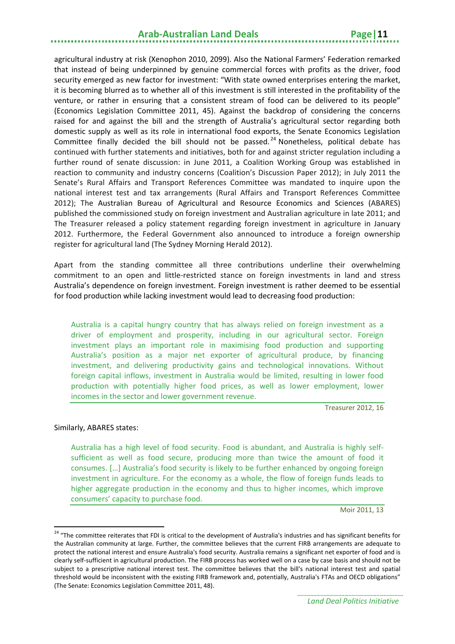agricultural industry at risk (Xenophon 2010, 2099). Also the National Farmers' Federation remarked that instead of being underpinned by genuine commercial forces with profits as the driver, food security emerged as new factor for investment: "With state owned enterprises entering the market, it is becoming blurred as to whether all of this investment is still interested in the profitability of the venture, or rather in ensuring that a consistent stream of food can be delivered to its people" (Economics Legislation Committee 2011, 45). Against the backdrop of considering the concerns raised for and against the bill and the strength of Australia's agricultural sector regarding both domestic supply as well as its role in international food exports, the Senate Economics Legislation Committee finally decided the bill should not be passed.<sup>[24](#page-14-0)</sup> Nonetheless, political debate has continued with further statements and initiatives, both for and against stricter regulation including a further round of senate discussion: in June 2011, a Coalition Working Group was established in reaction to community and industry concerns (Coalition's Discussion Paper 2012); in July 2011 the Senate's Rural Affairs and Transport References Committee was mandated to inquire upon the national interest test and tax arrangements (Rural Affairs and Transport References Committee 2012); The Australian Bureau of Agricultural and Resource Economics and Sciences (ABARES) published the commissioned study on foreign investment and Australian agriculture in late 2011; and The Treasurer released a policy statement regarding foreign investment in agriculture in January 2012. Furthermore, the Federal Government also announced to introduce a foreign ownership register for agricultural land (The Sydney Morning Herald 2012).

Apart from the standing committee all three contributions underline their overwhelming commitment to an open and little-restricted stance on foreign investments in land and stress Australia's dependence on foreign investment. Foreign investment is rather deemed to be essential for food production while lacking investment would lead to decreasing food production:

Australia is a capital hungry country that has always relied on foreign investment as a driver of employment and prosperity, including in our agricultural sector. Foreign investment plays an important role in maximising food production and supporting Australia's position as a major net exporter of agricultural produce, by financing investment, and delivering productivity gains and technological innovations. Without foreign capital inflows, investment in Australia would be limited, resulting in lower food production with potentially higher food prices, as well as lower employment, lower incomes in the sector and lower government revenue.

Treasurer 2012, 16

#### Similarly, ABARES states:

**.** 

Australia has a high level of food security. Food is abundant, and Australia is highly selfsufficient as well as food secure, producing more than twice the amount of food it consumes. […] Australia's food security is likely to be further enhanced by ongoing foreign investment in agriculture. For the economy as a whole, the flow of foreign funds leads to higher aggregate production in the economy and thus to higher incomes, which improve consumers' capacity to purchase food.

Moir 2011, 13

<span id="page-14-0"></span><sup>&</sup>lt;sup>24</sup> "The committee reiterates that FDI is critical to the development of Australia's industries and has significant benefits for the Australian community at large. Further, the committee believes that the current FIRB arrangements are adequate to protect the national interest and ensure Australia's food security. Australia remains a significant net exporter of food and is clearly self-sufficient in agricultural production. The FIRB process has worked well on a case by case basis and should not be subject to a prescriptive national interest test. The committee believes that the bill's national interest test and spatial threshold would be inconsistent with the existing FIRB framework and, potentially, Australia's FTAs and OECD obligations" (The Senate: Economics Legislation Committee 2011, 48).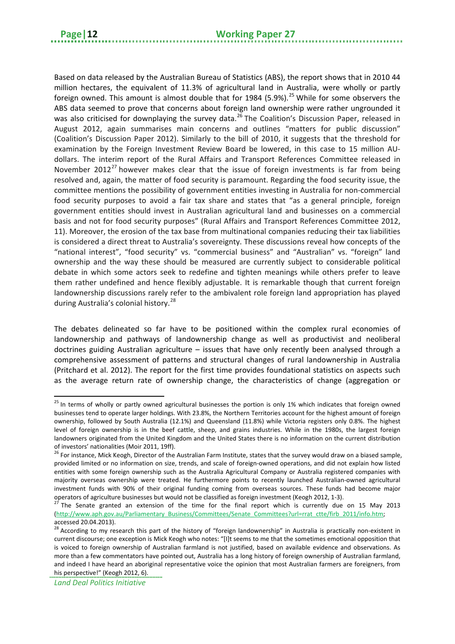Based on data released by the Australian Bureau of Statistics (ABS), the report shows that in 2010 44 million hectares, the equivalent of 11.3% of agricultural land in Australia, were wholly or partly foreign owned. This amount is almost double that for 1984 (5.9%).<sup>[25](#page-15-0)</sup> While for some observers the ABS data seemed to prove that concerns about foreign land ownership were rather ungrounded it was also criticised for downplaying the survey data.<sup>[26](#page-15-1)</sup> The Coalition's Discussion Paper, released in August 2012, again summarises main concerns and outlines "matters for public discussion" (Coalition's Discussion Paper 2012). Similarly to the bill of 2010, it suggests that the threshold for examination by the Foreign Investment Review Board be lowered, in this case to 15 million AUdollars. The interim report of the Rural Affairs and Transport References Committee released in November 2012<sup>[27](#page-15-2)</sup> however makes clear that the issue of foreign investments is far from being resolved and, again, the matter of food security is paramount. Regarding the food security issue, the committee mentions the possibility of government entities investing in Australia for non-commercial food security purposes to avoid a fair tax share and states that "as a general principle, foreign government entities should invest in Australian agricultural land and businesses on a commercial basis and not for food security purposes" (Rural Affairs and Transport References Committee 2012, 11). Moreover, the erosion of the tax base from multinational companies reducing their tax liabilities is considered a direct threat to Australia's sovereignty. These discussions reveal how concepts of the "national interest", "food security" vs. "commercial business" and "Australian" vs. "foreign" land ownership and the way these should be measured are currently subject to considerable political debate in which some actors seek to redefine and tighten meanings while others prefer to leave them rather undefined and hence flexibly adjustable. It is remarkable though that current foreign landownership discussions rarely refer to the ambivalent role foreign land appropriation has played during Australia's colonial history.<sup>[28](#page-15-3)</sup>

The debates delineated so far have to be positioned within the complex rural economies of landownership and pathways of landownership change as well as productivist and neoliberal doctrines guiding Australian agriculture – issues that have only recently been analysed through a comprehensive assessment of patterns and structural changes of rural landownership in Australia (Pritchard et al. 2012). The report for the first time provides foundational statistics on aspects such as the average return rate of ownership change, the characteristics of change (aggregation or

<span id="page-15-0"></span><sup>&</sup>lt;sup>25</sup> In terms of wholly or partly owned agricultural businesses the portion is only 1% which indicates that foreign owned businesses tend to operate larger holdings. With 23.8%, the Northern Territories account for the highest amount of foreign ownership, followed by South Australia (12.1%) and Queensland (11.8%) while Victoria registers only 0.8%. The highest level of foreign ownership is in the beef cattle, sheep, and grains industries. While in the 1980s, the largest foreign landowners originated from the United Kingdom and the United States there is no information on the current distribution of investors' nationalities (Moir 2011, 19ff).

<span id="page-15-1"></span><sup>&</sup>lt;sup>26</sup> For instance, Mick Keogh, Director of the Australian Farm Institute, states that the survey would draw on a biased sample, provided limited or no information on size, trends, and scale of foreign-owned operations, and did not explain how listed entities with some foreign ownership such as the Australia Agricultural Company or Australia registered companies with majority overseas ownership were treated. He furthermore points to recently launched Australian-owned agricultural investment funds with 90% of their original funding coming from overseas sources. These funds had become major operators of agriculture businesses but would not be classified as foreign investment (Keogh 2012, 1-3).<br><sup>27</sup> The Senate granted an extension of the time for the final report which is currently due on 15 May 2013

<span id="page-15-2"></span>[<sup>\(</sup>http://www.aph.gov.au/Parliamentary\\_Business/Committees/Senate\\_Committees?url=rrat\\_ctte/firb\\_2011/info.htm;](http://www.aph.gov.au/Parliamentary_Business/Committees/Senate_Committees?url=rrat_ctte/firb_2011/info.htm) accessed 20.04.2013).

<span id="page-15-3"></span> $^{28}$  According to my research this part of the history of "foreign landownership" in Australia is practically non-existent in current discourse; one exception is Mick Keogh who notes: "[I]t seems to me that the sometimes emotional opposition that is voiced to foreign ownership of Australian farmland is not justified, based on available evidence and observations. As more than a few commentators have pointed out, Australia has a long history of foreign ownership of Australian farmland, and indeed I have heard an aboriginal representative voice the opinion that most Australian farmers are foreigners, from

his perspective!" (Keogh 2012, 6).

*Land Deal Politics Initiative*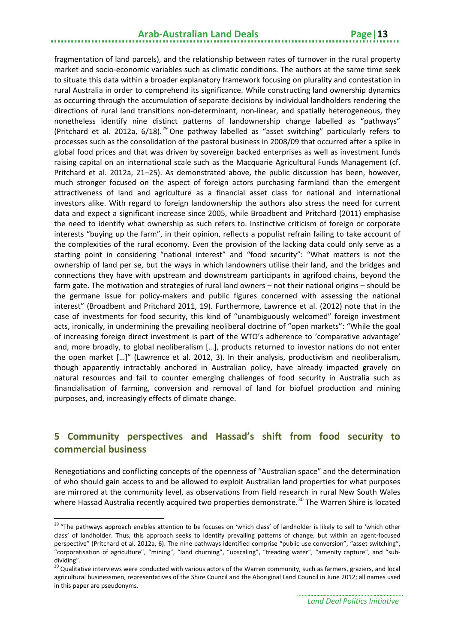fragmentation of land parcels), and the relationship between rates of turnover in the rural property market and socio-economic variables such as climatic conditions. The authors at the same time seek to situate this data within a broader explanatory framework focusing on plurality and contestation in rural Australia in order to comprehend its significance. While constructing land ownership dynamics as occurring through the accumulation of separate decisions by individual landholders rendering the directions of rural land transitions non-determinant, non-linear, and spatially heterogeneous, they nonetheless identify nine distinct patterns of landownership change labelled as "pathways" (Pritchard et al. 2012a, 6/18).<sup>[29](#page-16-1)</sup> One pathway labelled as "asset switching" particularly refers to processes such as the consolidation of the pastoral business in 2008/09 that occurred after a spike in global food prices and that was driven by sovereign backed enterprises as well as investment funds raising capital on an international scale such as the Macquarie Agricultural Funds Management (cf. Pritchard et al. 2012a, 21–25). As demonstrated above, the public discussion has been, however, much stronger focused on the aspect of foreign actors purchasing farmland than the emergent attractiveness of land and agriculture as a financial asset class for national and international investors alike. With regard to foreign landownership the authors also stress the need for current data and expect a significant increase since 2005, while Broadbent and Pritchard (2011) emphasise the need to identify what ownership as such refers to. Instinctive criticism of foreign or corporate interests "buying up the farm", in their opinion, reflects a populist refrain failing to take account of the complexities of the rural economy. Even the provision of the lacking data could only serve as a starting point in considering "national interest" and "food security": "What matters is not the ownership of land per se, but the ways in which landowners utilise their land, and the bridges and connections they have with upstream and downstream participants in agrifood chains, beyond the farm gate. The motivation and strategies of rural land owners – not their national origins – should be the germane issue for policy-makers and public figures concerned with assessing the national interest" (Broadbent and Pritchard 2011, 19). Furthermore, Lawrence et al. (2012) note that in the case of investments for food security, this kind of "unambiguously welcomed" foreign investment acts, ironically, in undermining the prevailing neoliberal doctrine of "open markets": "While the goal of increasing foreign direct investment is part of the WTO's adherence to 'comparative advantage' and, more broadly, to global neoliberalism […], products returned to investor nations do not enter the open market […]" (Lawrence et al. 2012, 3). In their analysis, productivism and neoliberalism, though apparently intractably anchored in Australian policy, have already impacted gravely on natural resources and fail to counter emerging challenges of food security in Australia such as financialisation of farming, conversion and removal of land for biofuel production and mining purposes, and, increasingly effects of climate change.

#### <span id="page-16-0"></span>**5 Community perspectives and Hassad's shift from food security to commercial business**

Renegotiations and conflicting concepts of the openness of "Australian space" and the determination of who should gain access to and be allowed to exploit Australian land properties for what purposes are mirrored at the community level, as observations from field research in rural New South Wales where Hassad Australia recently acquired two properties demonstrate.<sup>[30](#page-16-2)</sup> The Warren Shire is located

<span id="page-16-1"></span><sup>&</sup>lt;sup>29</sup> "The pathways approach enables attention to be focuses on 'which class' of landholder is likely to sell to 'which other class' of landholder. Thus, this approach seeks to identify prevailing patterns of change, but within an agent-focused perspective" (Pritchard et al. 2012a, 6). The nine pathways identified comprise "public use conversion", "asset switching", "corporatisation of agriculture", "mining", "land churning", "upscaling", "treading water", "amenity capture", and "subdividing".

<span id="page-16-2"></span><sup>&</sup>lt;sup>30</sup> Qualitative interviews were conducted with various actors of the Warren community, such as farmers, graziers, and local agricultural businessmen, representatives of the Shire Council and the Aboriginal Land Council in June 2012; all names used in this paper are pseudonyms.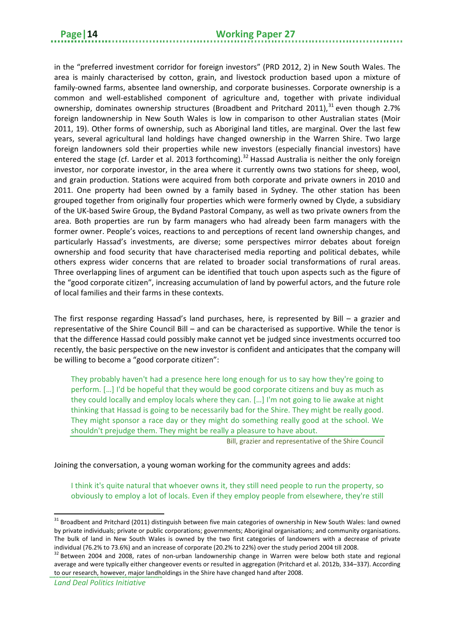in the "preferred investment corridor for foreign investors" (PRD 2012, 2) in New South Wales. The area is mainly characterised by cotton, grain, and livestock production based upon a mixture of family-owned farms, absentee land ownership, and corporate businesses. Corporate ownership is a common and well-established component of agriculture and, together with private individual ownership, dominates ownership structures (Broadbent and Pritchard 2011),<sup>[31](#page-17-0)</sup> even though 2.7% foreign landownership in New South Wales is low in comparison to other Australian states (Moir 2011, 19). Other forms of ownership, such as Aboriginal land titles, are marginal. Over the last few years, several agricultural land holdings have changed ownership in the Warren Shire. Two large foreign landowners sold their properties while new investors (especially financial investors) have entered the stage (cf. Larder et al. 2013 forthcoming).<sup>[32](#page-17-1)</sup> Hassad Australia is neither the only foreign investor, nor corporate investor, in the area where it currently owns two stations for sheep, wool, and grain production. Stations were acquired from both corporate and private owners in 2010 and 2011. One property had been owned by a family based in Sydney. The other station has been grouped together from originally four properties which were formerly owned by Clyde, a subsidiary of the UK-based Swire Group, the Bydand Pastoral Company, as well as two private owners from the area. Both properties are run by farm managers who had already been farm managers with the former owner. People's voices, reactions to and perceptions of recent land ownership changes, and particularly Hassad's investments, are diverse; some perspectives mirror debates about foreign ownership and food security that have characterised media reporting and political debates, while others express wider concerns that are related to broader social transformations of rural areas. Three overlapping lines of argument can be identified that touch upon aspects such as the figure of the "good corporate citizen", increasing accumulation of land by powerful actors, and the future role of local families and their farms in these contexts.

The first response regarding Hassad's land purchases, here, is represented by Bill – a grazier and representative of the Shire Council Bill – and can be characterised as supportive. While the tenor is that the difference Hassad could possibly make cannot yet be judged since investments occurred too recently, the basic perspective on the new investor is confident and anticipates that the company will be willing to become a "good corporate citizen":

They probably haven't had a presence here long enough for us to say how they're going to perform. […] I'd be hopeful that they would be good corporate citizens and buy as much as they could locally and employ locals where they can. […] I'm not going to lie awake at night thinking that Hassad is going to be necessarily bad for the Shire. They might be really good. They might sponsor a race day or they might do something really good at the school. We shouldn't prejudge them. They might be really a pleasure to have about.

Bill, grazier and representative of the Shire Council

#### Joining the conversation, a young woman working for the community agrees and adds:

I think it's quite natural that whoever owns it, they still need people to run the property, so obviously to employ a lot of locals. Even if they employ people from elsewhere, they're still

<span id="page-17-0"></span><sup>&</sup>lt;sup>31</sup> Broadbent and Pritchard (2011) distinguish between five main categories of ownership in New South Wales: land owned by private individuals; private or public corporations; governments; Aboriginal organisations; and community organisations. The bulk of land in New South Wales is owned by the two first categories of landowners with a decrease of private individual (76.2% to 73.6%) and an increase of corporate (20.2% to 22%) over the study period 2004 till 2008.<br><sup>32</sup> Between 2004 and 2008, rates of non-urban landownership change in Warren were below both state and regiona

<span id="page-17-1"></span>average and were typically either changeover events or resulted in aggregation (Pritchard et al. 2012b, 334–337). According to our research, however, major landholdings in the Shire have changed hand after 2008.

*Land Deal Politics Initiative*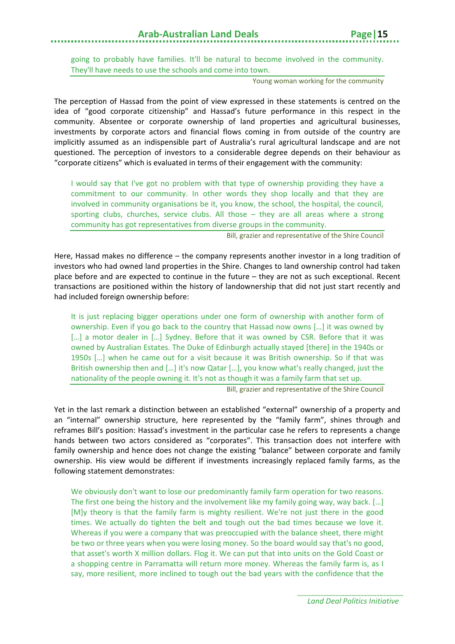going to probably have families. It'll be natural to become involved in the community. They'll have needs to use the schools and come into town.

Young woman working for the community

The perception of Hassad from the point of view expressed in these statements is centred on the idea of "good corporate citizenship" and Hassad's future performance in this respect in the community. Absentee or corporate ownership of land properties and agricultural businesses, investments by corporate actors and financial flows coming in from outside of the country are implicitly assumed as an indispensible part of Australia's rural agricultural landscape and are not questioned. The perception of investors to a considerable degree depends on their behaviour as "corporate citizens" which is evaluated in terms of their engagement with the community:

I would say that I've got no problem with that type of ownership providing they have a commitment to our community. In other words they shop locally and that they are involved in community organisations be it, you know, the school, the hospital, the council, sporting clubs, churches, service clubs. All those – they are all areas where a strong community has got representatives from diverse groups in the community.

Bill, grazier and representative of the Shire Council

Here, Hassad makes no difference – the company represents another investor in a long tradition of investors who had owned land properties in the Shire. Changes to land ownership control had taken place before and are expected to continue in the future – they are not as such exceptional. Recent transactions are positioned within the history of landownership that did not just start recently and had included foreign ownership before:

It is just replacing bigger operations under one form of ownership with another form of ownership. Even if you go back to the country that Hassad now owns […] it was owned by [...] a motor dealer in [...] Sydney. Before that it was owned by CSR. Before that it was owned by Australian Estates. The Duke of Edinburgh actually stayed [there] in the 1940s or 1950s […] when he came out for a visit because it was British ownership. So if that was British ownership then and […] it's now Qatar […], you know what's really changed, just the nationality of the people owning it. It's not as though it was a family farm that set up.

Bill, grazier and representative of the Shire Council

Yet in the last remark a distinction between an established "external" ownership of a property and an "internal" ownership structure, here represented by the "family farm", shines through and reframes Bill's position: Hassad's investment in the particular case he refers to represents a change hands between two actors considered as "corporates". This transaction does not interfere with family ownership and hence does not change the existing "balance" between corporate and family ownership. His view would be different if investments increasingly replaced family farms, as the following statement demonstrates:

We obviously don't want to lose our predominantly family farm operation for two reasons. The first one being the history and the involvement like my family going way, way back. […] [M]y theory is that the family farm is mighty resilient. We're not just there in the good times. We actually do tighten the belt and tough out the bad times because we love it. Whereas if you were a company that was preoccupied with the balance sheet, there might be two or three years when you were losing money. So the board would say that's no good, that asset's worth X million dollars. Flog it. We can put that into units on the Gold Coast or a shopping centre in Parramatta will return more money. Whereas the family farm is, as I say, more resilient, more inclined to tough out the bad years with the confidence that the

> *Land Deal Politics Initiative*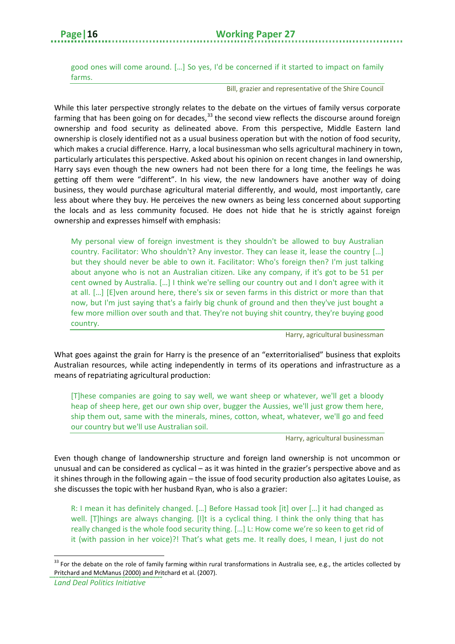good ones will come around. […] So yes, I'd be concerned if it started to impact on family farms.

Bill, grazier and representative of the Shire Council

While this later perspective strongly relates to the debate on the virtues of family versus corporate farming that has been going on for decades,<sup>[33](#page-19-0)</sup> the second view reflects the discourse around foreign ownership and food security as delineated above. From this perspective, Middle Eastern land ownership is closely identified not as a usual business operation but with the notion of food security, which makes a crucial difference. Harry, a local businessman who sells agricultural machinery in town, particularly articulates this perspective. Asked about his opinion on recent changes in land ownership, Harry says even though the new owners had not been there for a long time, the feelings he was getting off them were "different". In his view, the new landowners have another way of doing business, they would purchase agricultural material differently, and would, most importantly, care less about where they buy. He perceives the new owners as being less concerned about supporting the locals and as less community focused. He does not hide that he is strictly against foreign ownership and expresses himself with emphasis:

My personal view of foreign investment is they shouldn't be allowed to buy Australian country. Facilitator: Who shouldn't? Any investor. They can lease it, lease the country […] but they should never be able to own it. Facilitator: Who's foreign then? I'm just talking about anyone who is not an Australian citizen. Like any company, if it's got to be 51 per cent owned by Australia. […] I think we're selling our country out and I don't agree with it at all. […] [E]ven around here, there's six or seven farms in this district or more than that now, but I'm just saying that's a fairly big chunk of ground and then they've just bought a few more million over south and that. They're not buying shit country, they're buying good country.

Harry, agricultural businessman

What goes against the grain for Harry is the presence of an "exterritorialised" business that exploits Australian resources, while acting independently in terms of its operations and infrastructure as a means of repatriating agricultural production:

[T]hese companies are going to say well, we want sheep or whatever, we'll get a bloody heap of sheep here, get our own ship over, bugger the Aussies, we'll just grow them here, ship them out, same with the minerals, mines, cotton, wheat, whatever, we'll go and feed our country but we'll use Australian soil.

Harry, agricultural businessman

Even though change of landownership structure and foreign land ownership is not uncommon or unusual and can be considered as cyclical – as it was hinted in the grazier's perspective above and as it shines through in the following again – the issue of food security production also agitates Louise, as she discusses the topic with her husband Ryan, who is also a grazier:

R: I mean it has definitely changed. […] Before Hassad took [it] over […] it had changed as well. [T]hings are always changing. [I]t is a cyclical thing. I think the only thing that has really changed is the whole food security thing. […] L: How come we're so keen to get rid of it (with passion in her voice)?! That's what gets me. It really does, I mean, I just do not

 $\overline{a}$ 

<span id="page-19-0"></span><sup>&</sup>lt;sup>33</sup> For the debate on the role of family farming within rural transformations in Australia see, e.g., the articles collected by Pritchard and McManus (2000) and Pritchard et al. (2007).

*Land Deal Politics Initiative*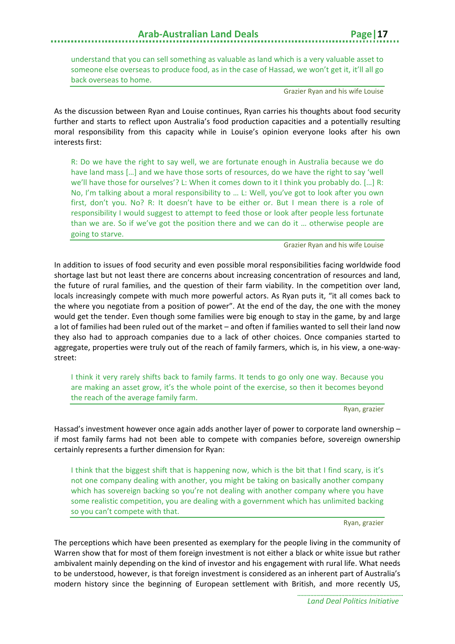understand that you can sell something as valuable as land which is a very valuable asset to someone else overseas to produce food, as in the case of Hassad, we won't get it, it'll all go back overseas to home.

Grazier Ryan and his wife Louise

As the discussion between Ryan and Louise continues, Ryan carries his thoughts about food security further and starts to reflect upon Australia's food production capacities and a potentially resulting moral responsibility from this capacity while in Louise's opinion everyone looks after his own interests first:

R: Do we have the right to say well, we are fortunate enough in Australia because we do have land mass […] and we have those sorts of resources, do we have the right to say 'well we'll have those for ourselves'? L: When it comes down to it I think you probably do. […] R: No, I'm talking about a moral responsibility to … L: Well, you've got to look after you own first, don't you. No? R: It doesn't have to be either or. But I mean there is a role of responsibility I would suggest to attempt to feed those or look after people less fortunate than we are. So if we've got the position there and we can do it … otherwise people are going to starve.

Grazier Ryan and his wife Louise

In addition to issues of food security and even possible moral responsibilities facing worldwide food shortage last but not least there are concerns about increasing concentration of resources and land, the future of rural families, and the question of their farm viability. In the competition over land, locals increasingly compete with much more powerful actors. As Ryan puts it, "it all comes back to the where you negotiate from a position of power". At the end of the day, the one with the money would get the tender. Even though some families were big enough to stay in the game, by and large a lot of families had been ruled out of the market – and often if families wanted to sell their land now they also had to approach companies due to a lack of other choices. Once companies started to aggregate, properties were truly out of the reach of family farmers, which is, in his view, a one-waystreet:

I think it very rarely shifts back to family farms. It tends to go only one way. Because you are making an asset grow, it's the whole point of the exercise, so then it becomes beyond the reach of the average family farm.

Ryan, grazier

Hassad's investment however once again adds another layer of power to corporate land ownership – if most family farms had not been able to compete with companies before, sovereign ownership certainly represents a further dimension for Ryan:

I think that the biggest shift that is happening now, which is the bit that I find scary, is it's not one company dealing with another, you might be taking on basically another company which has sovereign backing so you're not dealing with another company where you have some realistic competition, you are dealing with a government which has unlimited backing so you can't compete with that.

Ryan, grazier

The perceptions which have been presented as exemplary for the people living in the community of Warren show that for most of them foreign investment is not either a black or white issue but rather ambivalent mainly depending on the kind of investor and his engagement with rural life. What needs to be understood, however, is that foreign investment is considered as an inherent part of Australia's modern history since the beginning of European settlement with British, and more recently US,

> *Land Deal Politics Initiative*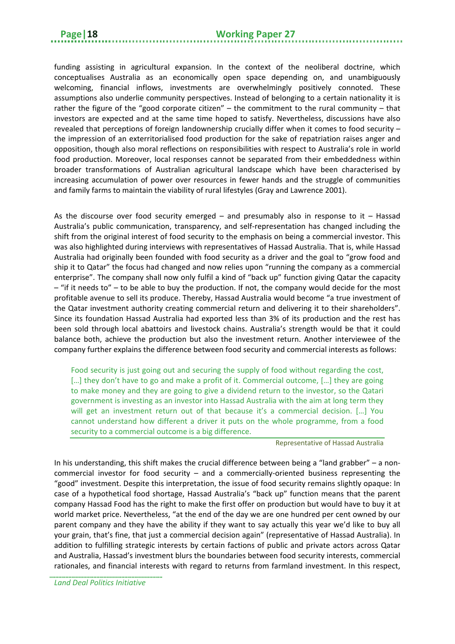funding assisting in agricultural expansion. In the context of the neoliberal doctrine, which conceptualises Australia as an economically open space depending on, and unambiguously welcoming, financial inflows, investments are overwhelmingly positively connoted. These assumptions also underlie community perspectives. Instead of belonging to a certain nationality it is rather the figure of the "good corporate citizen" – the commitment to the rural community – that investors are expected and at the same time hoped to satisfy. Nevertheless, discussions have also revealed that perceptions of foreign landownership crucially differ when it comes to food security – the impression of an exterritorialised food production for the sake of repatriation raises anger and opposition, though also moral reflections on responsibilities with respect to Australia's role in world food production. Moreover, local responses cannot be separated from their embeddedness within broader transformations of Australian agricultural landscape which have been characterised by increasing accumulation of power over resources in fewer hands and the struggle of communities and family farms to maintain the viability of rural lifestyles (Gray and Lawrence 2001).

As the discourse over food security emerged  $-$  and presumably also in response to it  $-$  Hassad Australia's public communication, transparency, and self-representation has changed including the shift from the original interest of food security to the emphasis on being a commercial investor. This was also highlighted during interviews with representatives of Hassad Australia. That is, while Hassad Australia had originally been founded with food security as a driver and the goal to "grow food and ship it to Qatar" the focus had changed and now relies upon "running the company as a commercial enterprise". The company shall now only fulfil a kind of "back up" function giving Qatar the capacity – "if it needs to" – to be able to buy the production. If not, the company would decide for the most profitable avenue to sell its produce. Thereby, Hassad Australia would become "a true investment of the Qatar investment authority creating commercial return and delivering it to their shareholders". Since its foundation Hassad Australia had exported less than 3% of its production and the rest has been sold through local abattoirs and livestock chains. Australia's strength would be that it could balance both, achieve the production but also the investment return. Another interviewee of the company further explains the difference between food security and commercial interests as follows:

Food security is just going out and securing the supply of food without regarding the cost, [...] they don't have to go and make a profit of it. Commercial outcome, [...] they are going to make money and they are going to give a dividend return to the investor, so the Qatari government is investing as an investor into Hassad Australia with the aim at long term they will get an investment return out of that because it's a commercial decision. [...] You cannot understand how different a driver it puts on the whole programme, from a food security to a commercial outcome is a big difference.

Representative of Hassad Australia

In his understanding, this shift makes the crucial difference between being a "land grabber" – a noncommercial investor for food security – and a commercially-oriented business representing the "good" investment. Despite this interpretation, the issue of food security remains slightly opaque: In case of a hypothetical food shortage, Hassad Australia's "back up" function means that the parent company Hassad Food has the right to make the first offer on production but would have to buy it at world market price. Nevertheless, "at the end of the day we are one hundred per cent owned by our parent company and they have the ability if they want to say actually this year we'd like to buy all your grain, that's fine, that just a commercial decision again" (representative of Hassad Australia). In addition to fulfilling strategic interests by certain factions of public and private actors across Qatar and Australia, Hassad's investment blurs the boundaries between food security interests, commercial rationales, and financial interests with regard to returns from farmland investment. In this respect,

*Land Deal Politics Initiative*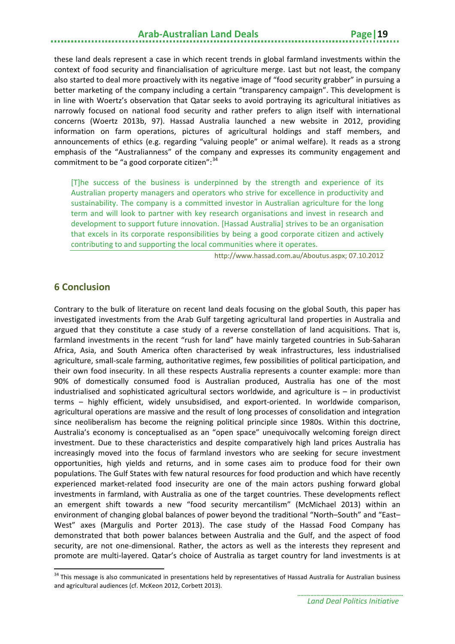these land deals represent a case in which recent trends in global farmland investments within the context of food security and financialisation of agriculture merge. Last but not least, the company also started to deal more proactively with its negative image of "food security grabber" in pursuing a better marketing of the company including a certain "transparency campaign". This development is in line with Woertz's observation that Qatar seeks to avoid portraying its agricultural initiatives as narrowly focused on national food security and rather prefers to align itself with international concerns (Woertz 2013b, 97). Hassad Australia launched a new website in 2012, providing information on farm operations, pictures of agricultural holdings and staff members, and announcements of ethics (e.g. regarding "valuing people" or animal welfare). It reads as a strong emphasis of the "Australianness" of the company and expresses its community engagement and commitment to be "a good corporate citizen":<sup>[34](#page-22-1)</sup>

[T]he success of the business is underpinned by the strength and experience of its Australian property managers and operators who strive for excellence in productivity and sustainability. The company is a committed investor in Australian agriculture for the long term and will look to partner with key research organisations and invest in research and development to support future innovation. [Hassad Australia] strives to be an organisation that excels in its corporate responsibilities by being a good corporate citizen and actively contributing to and supporting the local communities where it operates.

http://www.hassad.com.au/Aboutus.aspx; 07.10.2012

#### <span id="page-22-0"></span>**6 Conclusion**

**.** 

Contrary to the bulk of literature on recent land deals focusing on the global South, this paper has investigated investments from the Arab Gulf targeting agricultural land properties in Australia and argued that they constitute a case study of a reverse constellation of land acquisitions. That is, farmland investments in the recent "rush for land" have mainly targeted countries in Sub-Saharan Africa, Asia, and South America often characterised by weak infrastructures, less industrialised agriculture, small-scale farming, authoritative regimes, few possibilities of political participation, and their own food insecurity. In all these respects Australia represents a counter example: more than 90% of domestically consumed food is Australian produced, Australia has one of the most industrialised and sophisticated agricultural sectors worldwide, and agriculture is – in productivist terms – highly efficient, widely unsubsidised, and export-oriented. In worldwide comparison, agricultural operations are massive and the result of long processes of consolidation and integration since neoliberalism has become the reigning political principle since 1980s. Within this doctrine, Australia's economy is conceptualised as an "open space" unequivocally welcoming foreign direct investment. Due to these characteristics and despite comparatively high land prices Australia has increasingly moved into the focus of farmland investors who are seeking for secure investment opportunities, high yields and returns, and in some cases aim to produce food for their own populations. The Gulf States with few natural resources for food production and which have recently experienced market-related food insecurity are one of the main actors pushing forward global investments in farmland, with Australia as one of the target countries. These developments reflect an emergent shift towards a new "food security mercantilism" (McMichael 2013) within an environment of changing global balances of power beyond the traditional "North–South" and "East– West" axes (Margulis and Porter 2013). The case study of the Hassad Food Company has demonstrated that both power balances between Australia and the Gulf, and the aspect of food security, are not one-dimensional. Rather, the actors as well as the interests they represent and promote are multi-layered. Qatar's choice of Australia as target country for land investments is at

<span id="page-22-1"></span><sup>&</sup>lt;sup>34</sup> This message is also communicated in presentations held by representatives of Hassad Australia for Australian business and agricultural audiences (cf. McKeon 2012, Corbett 2013).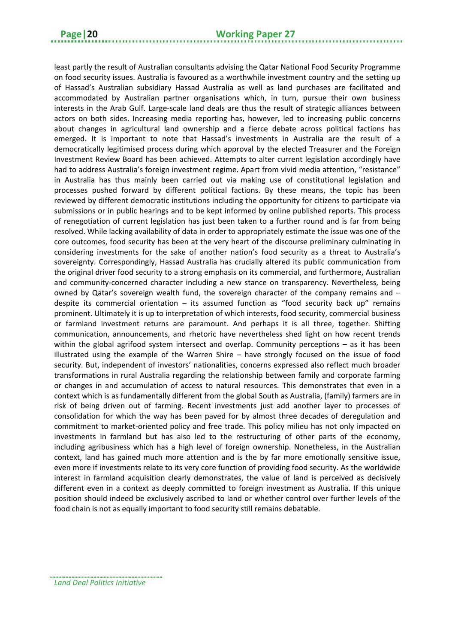least partly the result of Australian consultants advising the Qatar National Food Security Programme on food security issues. Australia is favoured as a worthwhile investment country and the setting up of Hassad's Australian subsidiary Hassad Australia as well as land purchases are facilitated and accommodated by Australian partner organisations which, in turn, pursue their own business interests in the Arab Gulf. Large-scale land deals are thus the result of strategic alliances between actors on both sides. Increasing media reporting has, however, led to increasing public concerns about changes in agricultural land ownership and a fierce debate across political factions has emerged. It is important to note that Hassad's investments in Australia are the result of a democratically legitimised process during which approval by the elected Treasurer and the Foreign Investment Review Board has been achieved. Attempts to alter current legislation accordingly have had to address Australia's foreign investment regime. Apart from vivid media attention, "resistance" in Australia has thus mainly been carried out via making use of constitutional legislation and processes pushed forward by different political factions. By these means, the topic has been reviewed by different democratic institutions including the opportunity for citizens to participate via submissions or in public hearings and to be kept informed by online published reports. This process of renegotiation of current legislation has just been taken to a further round and is far from being resolved. While lacking availability of data in order to appropriately estimate the issue was one of the core outcomes, food security has been at the very heart of the discourse preliminary culminating in considering investments for the sake of another nation's food security as a threat to Australia's sovereignty. Correspondingly, Hassad Australia has crucially altered its public communication from the original driver food security to a strong emphasis on its commercial, and furthermore, Australian and community-concerned character including a new stance on transparency. Nevertheless, being owned by Qatar's sovereign wealth fund, the sovereign character of the company remains and – despite its commercial orientation  $-$  its assumed function as "food security back up" remains prominent. Ultimately it is up to interpretation of which interests, food security, commercial business or farmland investment returns are paramount. And perhaps it is all three, together. Shifting communication, announcements, and rhetoric have nevertheless shed light on how recent trends within the global agrifood system intersect and overlap. Community perceptions – as it has been illustrated using the example of the Warren Shire – have strongly focused on the issue of food security. But, independent of investors' nationalities, concerns expressed also reflect much broader transformations in rural Australia regarding the relationship between family and corporate farming or changes in and accumulation of access to natural resources. This demonstrates that even in a context which is as fundamentally different from the global South as Australia, (family) farmers are in risk of being driven out of farming. Recent investments just add another layer to processes of consolidation for which the way has been paved for by almost three decades of deregulation and commitment to market-oriented policy and free trade. This policy milieu has not only impacted on investments in farmland but has also led to the restructuring of other parts of the economy, including agribusiness which has a high level of foreign ownership. Nonetheless, in the Australian context, land has gained much more attention and is the by far more emotionally sensitive issue, even more if investments relate to its very core function of providing food security. As the worldwide interest in farmland acquisition clearly demonstrates, the value of land is perceived as decisively different even in a context as deeply committed to foreign investment as Australia. If this unique position should indeed be exclusively ascribed to land or whether control over further levels of the food chain is not as equally important to food security still remains debatable.

<span id="page-23-0"></span>

*Land Deal Politics Initiative*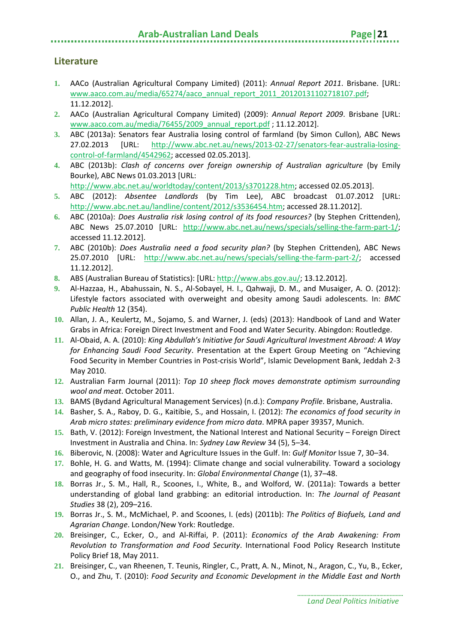#### **Arab-Australian Land Deals**

#### **Literature**

- **1.** AACo (Australian Agricultural Company Limited) (2011): *Annual Report 2011*. Brisbane. [URL: [www.aaco.com.au/media/65274/aaco\\_annual\\_report\\_2011\\_20120131102718107.pdf;](http://www.aaco.com.au/media/65274/aaco_annual_report_2011_20120131102718107.pdf) 11.12.2012].
- **2.** AACo (Australian Agricultural Company Limited) (2009): *Annual Report 2009*. Brisbane [URL: [www.aaco.com.au/media/76455/2009\\_annual\\_report.pdf](http://www.aaco.com.au/media/76455/2009_annual_report.pdf) ; 11.12.2012].
- **3.** ABC (2013a): Senators fear Australia losing control of farmland (by Simon Cullon), ABC News 27.02.2013 [URL: [http://www.abc.net.au/news/2013-02-27/senators-fear-australia-losing](http://www.abc.net.au/news/2013-02-27/senators-fear-australia-losing-control-of-farmland/4542962)[control-of-farmland/4542962;](http://www.abc.net.au/news/2013-02-27/senators-fear-australia-losing-control-of-farmland/4542962) accessed 02.05.2013].
- **4.** ABC (2013b): *Clash of concerns over foreign ownership of Australian agriculture* (by Emily Bourke), ABC News 01.03.2013 [URL:

[http://www.abc.net.au/worldtoday/content/2013/s3701228.htm;](http://www.abc.net.au/worldtoday/content/2013/s3701228.htm) accessed 02.05.2013].

- **5.** ABC (2012): *Absentee Landlords* (by Tim Lee), ABC broadcast 01.07.2012 [URL: [http://www.abc.net.au/landline/content/2012/s3536454.htm;](http://www.abc.net.au/landline/content/2012/s3536454.htm) accessed 28.11.2012].
- **6.** ABC (2010a): *Does Australia risk losing control of its food resources?* (by Stephen Crittenden), ABC News 25.07.2010 [URL: [http://www.abc.net.au/news/specials/selling-the-farm-part-1/;](http://www.abc.net.au/news/specials/selling-the-farm-part-1/) accessed 11.12.2012].
- **7.** ABC (2010b): *Does Australia need a food security plan?* (by Stephen Crittenden), ABC News 25.07.2010 [URL: [http://www.abc.net.au/news/specials/selling-the-farm-part-2/;](http://www.abc.net.au/news/specials/selling-the-farm-part-2/) accessed 11.12.2012].
- **8.** ABS (Australian Bureau of Statistics): [URL: [http://www.abs.gov.au/;](http://www.abs.gov.au/) 13.12.2012].
- **9.** Al-Hazzaa, H., Abahussain, N. S., Al-Sobayel, H. I., Qahwaji, D. M., and Musaiger, A. O. (2012): Lifestyle factors associated with overweight and obesity among Saudi adolescents. In: *BMC Public Health* 12 (354).
- **10.** Allan, J. A., Keulertz, M., Sojamo, S. and Warner, J. (eds) (2013): Handbook of Land and Water Grabs in Africa: Foreign Direct Investment and Food and Water Security. Abingdon: Routledge.
- **11.** Al-Obaid, A. A. (2010): *King Abdullah's Initiative for Saudi Agricultural Investment Abroad: A Way for Enhancing Saudi Food Security*. Presentation at the Expert Group Meeting on "Achieving Food Security in Member Countries in Post-crisis World", Islamic Development Bank, Jeddah 2-3 May 2010.
- **12.** Australian Farm Journal (2011): *Top 10 sheep flock moves demonstrate optimism surrounding wool and meat*. October 2011.
- **13.** BAMS (Bydand Agricultural Management Services) (n.d.): *Company Profile*. Brisbane, Australia.
- **14.** Basher, S. A., Raboy, D. G., Kaitibie, S., and Hossain, I. (2012): *The economics of food security in Arab micro states: preliminary evidence from micro data*. MPRA paper 39357, Munich.
- **15.** Bath, V. (2012): Foreign Investment, the National Interest and National Security Foreign Direct Investment in Australia and China. In: *Sydney Law Review* 34 (5), 5–34.
- **16.** Biberovic, N. (2008): Water and Agriculture Issues in the Gulf. In: *Gulf Monitor* Issue 7, 30–34.
- **17.** Bohle, H. G. and Watts, M. (1994): Climate change and social vulnerability. Toward a sociology and geography of food insecurity. In: *Global Environmental Change* (1), 37–48.
- **18.** Borras Jr., S. M., Hall, R., Scoones, I., White, B., and Wolford, W. (2011a): Towards a better understanding of global land grabbing: an editorial introduction. In: *The Journal of Peasant Studies* 38 (2), 209–216.
- **19.** Borras Jr., S. M., McMichael, P. and Scoones, I. (eds) (2011b): *The Politics of Biofuels, Land and Agrarian Change*. London/New York: Routledge.
- **20.** Breisinger, C., Ecker, O., and Al-Riffai, P. (2011): *Economics of the Arab Awakening: From Revolution to Transformation and Food Security*. International Food Policy Research Institute Policy Brief 18, May 2011.
- **21.** Breisinger, C., van Rheenen, T. Teunis, Ringler, C., Pratt, A. N., Minot, N., Aragon, C., Yu, B., Ecker, O., and Zhu, T. (2010): *Food Security and Economic Development in the Middle East and North*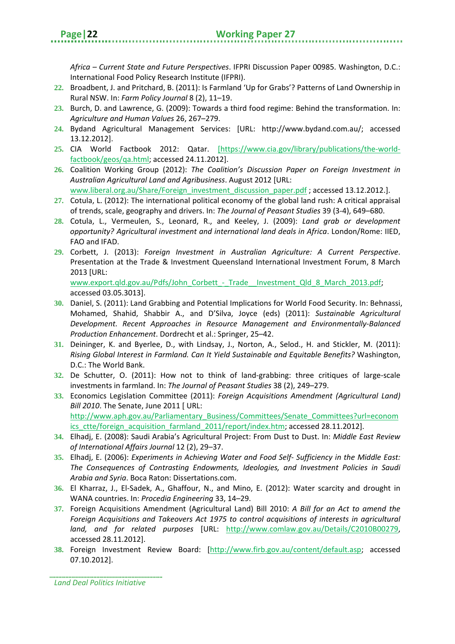*Africa – Current State and Future Perspectives*. IFPRI Discussion Paper 00985. Washington, D.C.: International Food Policy Research Institute (IFPRI).

- **22.** Broadbent, J. and Pritchard, B. (2011): Is Farmland 'Up for Grabs'? Patterns of Land Ownership in Rural NSW. In: *Farm Policy Journal* 8 (2), 11–19.
- **23.** Burch, D. and Lawrence, G. (2009): Towards a third food regime: Behind the transformation. In: *Agriculture and Human Values* 26, 267–279.
- **24.** Bydand Agricultural Management Services: [URL: http://www.bydand.com.au/; accessed 13.12.2012].
- **25.** CIA World Factbook 2012: Qatar. [https://www.cia.gov/library/publications/the-worldfactbook/geos/qa.html; accessed 24.11.2012].
- **26.** Coalition Working Group (2012): *The Coalition's Discussion Paper on Foreign Investment in Australian Agricultural Land and Agribusiness*. August 2012 [URL: [www.liberal.org.au/Share/Foreign\\_investment\\_discussion\\_paper.pdf](http://www.liberal.org.au/Share/Foreign_investment_discussion_paper.pdf) ; accessed 13.12.2012.].
- **27.** Cotula, L. (2012): The international political economy of the global land rush: A critical appraisal of trends, scale, geography and drivers. In: *The Journal of Peasant Studies* 39 (3-4), 649–680.
- **28.** Cotula, L., Vermeulen, S., Leonard, R., and Keeley, J. (2009): *Land grab or development opportunity? Agricultural investment and international land deals in Africa*. London/Rome: IIED, FAO and IFAD.
- **29.** Corbett, J. (2013): *Foreign Investment in Australian Agriculture: A Current Perspective*. Presentation at the Trade & Investment Queensland International Investment Forum, 8 March 2013 [URL:

www.export.gld.gov.au/Pdfs/John\_Corbett\_-\_Trade\_\_Investment\_Qld\_8\_March\_2013.pdf; accessed 03.05.3013].

- **30.** Daniel, S. (2011): Land Grabbing and Potential Implications for World Food Security. In: Behnassi, Mohamed, Shahid, Shabbir A., and D'Silva, Joyce (eds) (2011): *Sustainable Agricultural Development. Recent Approaches in Resource Management and Environmentally-Balanced Production Enhancement*. Dordrecht et al.: Springer, 25–42.
- **31.** Deininger, K. and Byerlee, D., with Lindsay, J., Norton, A., Selod., H. and Stickler, M. (2011): *Rising Global Interest in Farmland. Can It Yield Sustainable and Equitable Benefits?* Washington, D.C.: The World Bank.
- **32.** De Schutter, O. (2011): How not to think of land-grabbing: three critiques of large-scale investments in farmland. In: *The Journal of Peasant Studies* 38 (2), 249–279.
- **33.** Economics Legislation Committee (2011): *Foreign Acquisitions Amendment (Agricultural Land) Bill 2010*. The Senate, June 2011 [ URL: [http://www.aph.gov.au/Parliamentary\\_Business/Committees/Senate\\_Committees?url=econom](http://www.aph.gov.au/Parliamentary_Business/Committees/Senate_Committees?url=economics_ctte/foreign_acquisition_farmland_2011/report/index.htm) [ics\\_ctte/foreign\\_acquisition\\_farmland\\_2011/report/index.htm;](http://www.aph.gov.au/Parliamentary_Business/Committees/Senate_Committees?url=economics_ctte/foreign_acquisition_farmland_2011/report/index.htm) accessed 28.11.2012].
- **34.** Elhadj, E. (2008): Saudi Arabia's Agricultural Project: From Dust to Dust. In: *Middle East Review of International Affairs Journal* 12 (2), 29–37.
- **35.** Elhadj, E. (2006): *Experiments in Achieving Water and Food Self- Sufficiency in the Middle East: The Consequences of Contrasting Endowments, Ideologies, and Investment Policies in Saudi Arabia and Syria*. Boca Raton: Dissertations.com.
- **36.** El Kharraz, J., El-Sadek, A., Ghaffour, N., and Mino, E. (2012): Water scarcity and drought in WANA countries. In: *Procedia Engineering* 33, 14–29.
- **37.** Foreign Acquisitions Amendment (Agricultural Land) Bill 2010: *A Bill for an Act to amend the Foreign Acquisitions and Takeovers Act 1975 to control acquisitions of interests in agricultural land, and for related purposes* [URL: [http://www.comlaw.gov.au/Details/C2010B00279,](http://www.comlaw.gov.au/Details/C2010B00279) accessed 28.11.2012].
- **38.** Foreign Investment Review Board: [http://www.firb.gov.au/content/default.asp; accessed 07.10.2012].

*Land Deal Politics Initiative*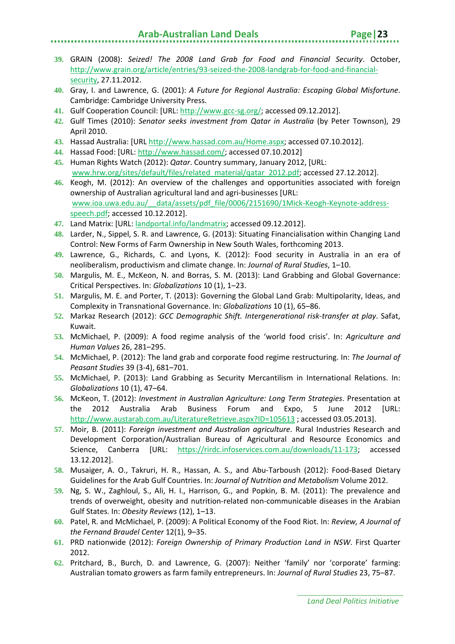- 
- **39.** GRAIN (2008): *Seized! The 2008 Land Grab for Food and Financial Security*. October, [http://www.grain.org/article/entries/93-seized-the-2008-landgrab-for-food-and-financial](http://www.grain.org/article/entries/93-seized-the-2008-landgrab-for-food-and-financial-security)[security,](http://www.grain.org/article/entries/93-seized-the-2008-landgrab-for-food-and-financial-security) 27.11.2012.
- **40.** Gray, I. and Lawrence, G. (2001): *A Future for Regional Australia: Escaping Global Misfortune*. Cambridge: Cambridge University Press.
- **41.** Gulf Cooperation Council: [URL: [http://www.gcc-sg.org/;](http://www.gcc-sg.org/) accessed 09.12.2012].
- **42.** Gulf Times (2010): *Senator seeks investment from Qatar in Australia* (by Peter Townson), 29 April 2010.
- **43.** Hassad Australia: [URL [http://www.hassad.com.au/Home.aspx;](http://www.hassad.com.au/Home.aspx) accessed 07.10.2012].
- **44.** Hassad Food: [URL: [http://www.hassad.com/;](http://www.hassad.com/) accessed 07.10.2012]
- **45.** Human Rights Watch (2012): *Qatar*. Country summary, January 2012, [URL: [www.hrw.org/sites/default/files/related\\_material/qatar\\_2012.pdf;](http://www.hrw.org/sites/default/files/related_material/qatar_2012.pdf) accessed 27.12.2012].
- **46.** Keogh, M. (2012): An overview of the challenges and opportunities associated with foreign ownership of Australian agricultural land and agri-businesses [URL: [www.ioa.uwa.edu.au/\\_\\_data/assets/pdf\\_file/0006/2151690/1Mick-Keogh-Keynote-address](http://www.ioa.uwa.edu.au/__data/assets/pdf_file/0006/2151690/1Mick-Keogh-Keynote-address-speech.pdf)[speech.pdf;](http://www.ioa.uwa.edu.au/__data/assets/pdf_file/0006/2151690/1Mick-Keogh-Keynote-address-speech.pdf) accessed 10.12.2012].
- **47.** Land Matrix: [URL: landportal.info/landmatrix; accessed 09.12.2012].
- **48.** Larder, N., Sippel, S. R. and Lawrence, G. (2013): Situating Financialisation within Changing Land Control: New Forms of Farm Ownership in New South Wales, forthcoming 2013.
- **49.** Lawrence, G., Richards, C. and Lyons, K. (2012): Food security in Australia in an era of neoliberalism, productivism and climate change. In: *Journal of Rural Studies*, 1–10.
- **50.** Margulis, M. E., McKeon, N. and Borras, S. M. (2013): Land Grabbing and Global Governance: Critical Perspectives. In: *Globalizations* 10 (1), 1–23.
- **51.** Margulis, M. E. and Porter, T. (2013): Governing the Global Land Grab: Multipolarity, Ideas, and Complexity in Transnational Governance. In: *Globalizations* 10 (1), 65–86.
- **52.** Markaz Research (2012): *GCC Demographic Shift. Intergenerational risk-transfer at play*. Safat, Kuwait.
- **53.** McMichael, P. (2009): A food regime analysis of the 'world food crisis'. In: *Agriculture and Human Values* 26, 281–295.
- **54.** McMichael, P. (2012): The land grab and corporate food regime restructuring. In: *The Journal of Peasant Studies* 39 (3-4), 681–701.
- **55.** McMichael, P. (2013): Land Grabbing as Security Mercantilism in International Relations. In: *Globalizations* 10 (1), 47–64.
- **56.** McKeon, T. (2012): *Investment in Australian Agriculture: Long Term Strategies*. Presentation at the 2012 Australia Arab Business Forum and Expo, 5 June 2012 [URL: <http://www.austarab.com.au/LiteratureRetrieve.aspx?ID=105613> ; accessed 03.05.2013].
- **57.** Moir, B. (2011): *Foreign investment and Australian agriculture*. Rural Industries Research and Development Corporation/Australian Bureau of Agricultural and Resource Economics and Science, Canberra [URL: [https://rirdc.infoservices.com.au/downloads/11-173;](https://rirdc.infoservices.com.au/downloads/11-173) accessed 13.12.2012].
- **58.** Musaiger, A. O., Takruri, H. R., Hassan, A. S., and Abu-Tarboush (2012): Food-Based Dietary Guidelines for the Arab Gulf Countries. In: *Journal of Nutrition and Metabolism* Volume 2012.
- **59.** Ng, S. W., Zaghloul, S., Ali, H. I., Harrison, G., and Popkin, B. M. (2011): The prevalence and trends of overweight, obesity and nutrition-related non-communicable diseases in the Arabian Gulf States. In: *Obesity Reviews* (12), 1–13.
- **60.** Patel, R. and McMichael, P. (2009): A Political Economy of the Food Riot. In: *Review, A Journal of the Fernand Braudel Center* 12(1), 9–35.
- **61.** PRD nationwide (2012): *Foreign Ownership of Primary Production Land in NSW*. First Quarter 2012.
- **62.** Pritchard, B., Burch, D. and Lawrence, G. (2007): Neither 'family' nor 'corporate' farming: Australian tomato growers as farm family entrepreneurs. In: *Journal of Rural Studies* 23, 75–87.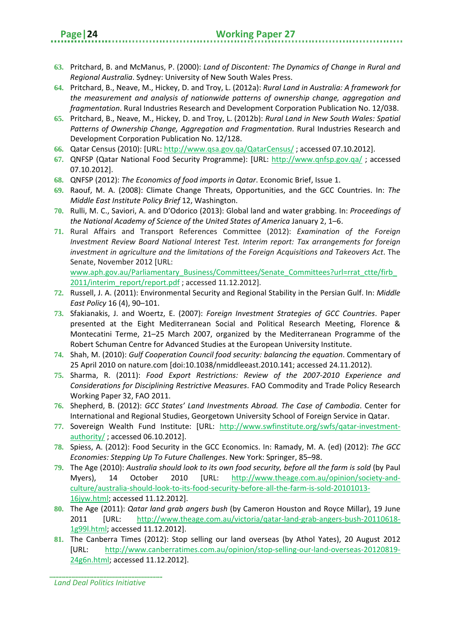- **63.** Pritchard, B. and McManus, P. (2000): *Land of Discontent: The Dynamics of Change in Rural and Regional Australia*. Sydney: University of New South Wales Press.
- **64.** Pritchard, B., Neave, M., Hickey, D. and Troy, L. (2012a): *Rural Land in Australia: A framework for the measurement and analysis of nationwide patterns of ownership change, aggregation and fragmentation*. Rural Industries Research and Development Corporation Publication No. 12/038.
- **65.** Pritchard, B., Neave, M., Hickey, D. and Troy, L. (2012b): *Rural Land in New South Wales: Spatial Patterns of Ownership Change, Aggregation and Fragmentation*. Rural Industries Research and Development Corporation Publication No. 12/128.
- **66.** Qatar Census (2010): [URL[: http://www.qsa.gov.qa/QatarCensus/](http://www.qsa.gov.qa/QatarCensus/) ; accessed 07.10.2012].
- **67.** QNFSP (Qatar National Food Security Programme): [URL:<http://www.qnfsp.gov.qa/> ; accessed 07.10.2012].
- **68.** QNFSP (2012): *The Economics of food imports in Qatar*. Economic Brief, Issue 1.
- **69.** Raouf, M. A. (2008): Climate Change Threats, Opportunities, and the GCC Countries. In: *The Middle East Institute Policy Brief* 12, Washington.
- **70.** Rulli, M. C., Saviori, A. and D'Odorico (2013): Global land and water grabbing. In: *Proceedings of the National Academy of Science of the United States of America* January 2, 1–6.
- **71.** Rural Affairs and Transport References Committee (2012): *Examination of the Foreign Investment Review Board National Interest Test. Interim report: Tax arrangements for foreign investment in agriculture and the limitations of the Foreign Acquisitions and Takeovers Act*. The Senate, November 2012 [URL:

www.aph.gov.au/Parliamentary\_Business/Committees/Senate\_Committees?url=rrat\_ctte/firb [2011/interim\\_report/report.pdf](http://www.aph.gov.au/Parliamentary_Business/Committees/Senate_Committees?url=rrat_ctte/firb_2011/interim_report/report.pdf); accessed 11.12.2012].

- **72.** Russell, J. A. (2011): Environmental Security and Regional Stability in the Persian Gulf. In: *Middle East Policy* 16 (4), 90–101.
- **73.** Sfakianakis, J. and Woertz, E. (2007): *Foreign Investment Strategies of GCC Countries*. Paper presented at the Eight Mediterranean Social and Political Research Meeting, Florence & Montecatini Terme, 21–25 March 2007, organized by the Mediterranean Programme of the Robert Schuman Centre for Advanced Studies at the European University Institute.
- **74.** Shah, M. (2010): *Gulf Cooperation Council food security: balancing the equation*. Commentary of 25 April 2010 on nature.com [doi:10.1038/nmiddleeast.2010.141; accessed 24.11.2012).
- **75.** Sharma, R. (2011): *Food Export Restrictions: Review of the 2007-2010 Experience and Considerations for Disciplining Restrictive Measures*. FAO Commodity and Trade Policy Research Working Paper 32, FAO 2011.
- **76.** Shepherd, B. (2012): *GCC States' Land Investments Abroad. The Case of Cambodia*. Center for International and Regional Studies, Georgetown University School of Foreign Service in Qatar.
- **77.** Sovereign Wealth Fund Institute: [URL: [http://www.swfinstitute.org/swfs/qatar-investment](http://www.swfinstitute.org/swfs/qatar-investment-authority/)[authority/](http://www.swfinstitute.org/swfs/qatar-investment-authority/) ; accessed 06.10.2012].
- **78.** Spiess, A. (2012): Food Security in the GCC Economics. In: Ramady, M. A. (ed) (2012): *The GCC Economies: Stepping Up To Future Challenges*. New York: Springer, 85–98.
- **79.** The Age (2010): *Australia should look to its own food security, before all the farm is sold* (by Paul Myers), 14 October 2010 [URL: http://www.theage.com.au/opinion/society-andculture/australia-should-look-to-its-food-security-before-all-the-farm-is-sold-20101013- 16jyw.html; accessed 11.12.2012].
- **80.** The Age (2011): *Qatar land grab angers bush* (by Cameron Houston and Royce Millar), 19 June 2011 [URL: http://www.theage.com.au/victoria/qatar-land-grab-angers-bush-20110618- 1g99l.html; accessed 11.12.2012].
- **81.** The Canberra Times (2012): Stop selling our land overseas (by Athol Yates), 20 August 2012 [URL: http://www.canberratimes.com.au/opinion/stop-selling-our-land-overseas-20120819- 24g6n.html; accessed 11.12.2012].

*Land Deal Politics Initiative*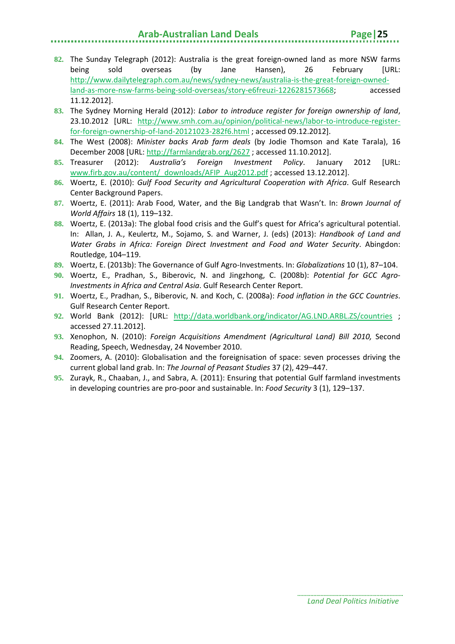- **82.** The Sunday Telegraph (2012): Australia is the great foreign-owned land as more NSW farms being sold overseas (by Jane Hansen), 26 February [URL: [http://www.dailytelegraph.com.au/news/sydney-news/australia-is-the-great-foreign-owned](http://www.dailytelegraph.com.au/news/sydney-news/australia-is-the-great-foreign-owned-land-as-more-nsw-farms-being-sold-overseas/story-e6freuzi-1226281573668)[land-as-more-nsw-farms-being-sold-overseas/story-e6freuzi-1226281573668;](http://www.dailytelegraph.com.au/news/sydney-news/australia-is-the-great-foreign-owned-land-as-more-nsw-farms-being-sold-overseas/story-e6freuzi-1226281573668) accessed 11.12.2012].
- **83.** The Sydney Morning Herald (2012): *Labor to introduce register for foreign ownership of land*, 23.10.2012 [URL: [http://www.smh.com.au/opinion/political-news/labor-to-introduce-register](http://www.smh.com.au/opinion/political-news/labor-to-introduce-register-for-foreign-ownership-of-land-20121023-282f6.html)[for-foreign-ownership-of-land-20121023-282f6.html](http://www.smh.com.au/opinion/political-news/labor-to-introduce-register-for-foreign-ownership-of-land-20121023-282f6.html) ; accessed 09.12.2012].
- **84.** The West (2008): *Minister backs Arab farm deals* (by Jodie Thomson and Kate Tarala), 16 December 2008 [URL:<http://farmlandgrab.org/2627> ; accessed 11.10.2012].
- **85.** Treasurer (2012): *Australia's Foreign Investment Policy*. January 2012 [URL: [www.firb.gov.au/content/\\_downloads/AFIP\\_Aug2012.pdf](http://www.firb.gov.au/content/_downloads/AFIP_Aug2012.pdf) ; accessed 13.12.2012].
- **86.** Woertz, E. (2010): *Gulf Food Security and Agricultural Cooperation with Africa*. Gulf Research Center Background Papers.
- **87.** Woertz, E. (2011): Arab Food, Water, and the Big Landgrab that Wasn't. In: *Brown Journal of World Affairs* 18 (1), 119–132.
- **88.** Woertz, E. (2013a): The global food crisis and the Gulf's quest for Africa's agricultural potential. In: Allan, J. A., Keulertz, M., Sojamo, S. and Warner, J. (eds) (2013): *Handbook of Land and Water Grabs in Africa: Foreign Direct Investment and Food and Water Security*. Abingdon: Routledge, 104–119.
- **89.** Woertz, E. (2013b): The Governance of Gulf Agro-Investments. In: *Globalizations* 10 (1), 87–104.
- **90.** Woertz, E., Pradhan, S., Biberovic, N. and Jingzhong, C. (2008b): *Potential for GCC Agro-Investments in Africa and Central Asia*. Gulf Research Center Report.
- **91.** Woertz, E., Pradhan, S., Biberovic, N. and Koch, C. (2008a): *Food inflation in the GCC Countries*. Gulf Research Center Report.
- **92.** World Bank (2012): [URL: <http://data.worldbank.org/indicator/AG.LND.ARBL.ZS/countries> ; accessed 27.11.2012].
- **93.** Xenophon, N. (2010): *Foreign Acquisitions Amendment (Agricultural Land) Bill 2010,* Second Reading, Speech, Wednesday, 24 November 2010.
- **94.** Zoomers, A. (2010): Globalisation and the foreignisation of space: seven processes driving the current global land grab. In: *The Journal of Peasant Studies* 37 (2), 429–447.
- **95.** Zurayk, R., Chaaban, J., and Sabra, A. (2011): Ensuring that potential Gulf farmland investments in developing countries are pro-poor and sustainable. In: *Food Security* 3 (1), 129–137.